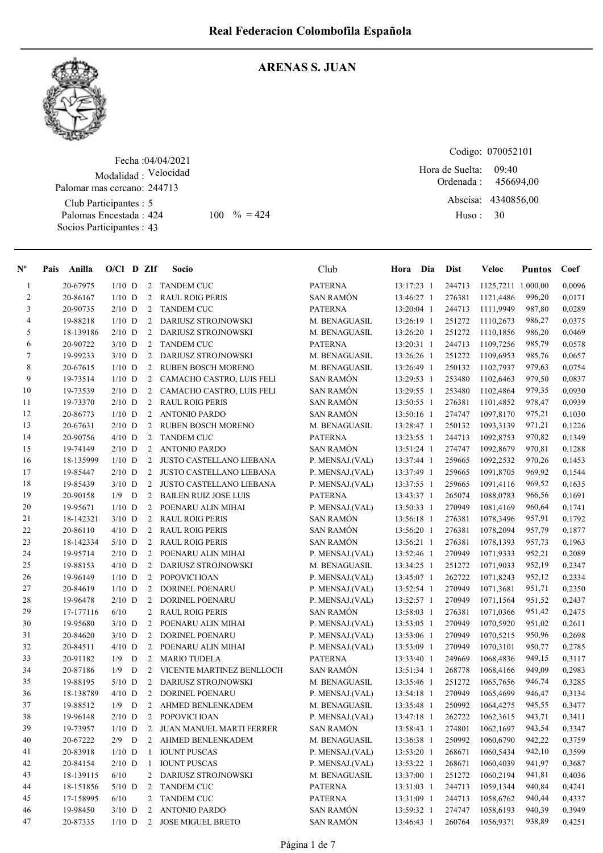

#### ARENAS S. JUAN

Fecha : 04/04/2021 Modalidad : Velocidad Club Participantes : 5 Palomas Encestada : Socios Participantes : 43 Palomar mas cercano: 244713

Codigo: 070052101

Ordenada : Abscisa: 4340856,00 Huso : 09:40 424 100  $\% = 424$  Huso: 30 Hora de Suelta: 456694,00

| $N^{\circ}$    | Pais | Anilla    | $O/Cl$ D ZIf  |   |                | Socio                           | Club             | Hora Dia   | <b>Dist</b> | Veloc              | <b>Puntos</b> | Coef   |
|----------------|------|-----------|---------------|---|----------------|---------------------------------|------------------|------------|-------------|--------------------|---------------|--------|
| $\mathbf{1}$   |      | 20-67975  | $1/10$ D      |   | 2              | <b>TANDEM CUC</b>               | <b>PATERNA</b>   | 13:17:23 1 | 244713      | 1125,7211 1.000,00 |               | 0,0096 |
| $\overline{c}$ |      | 20-86167  | $1/10$ D      |   | 2              | <b>RAUL ROIG PERIS</b>          | <b>SAN RAMÓN</b> | 13:46:27 1 | 276381      | 1121,4486          | 996,20        | 0,0171 |
| 3              |      | 20-90735  | $2/10$ D      |   | 2              | <b>TANDEM CUC</b>               | <b>PATERNA</b>   | 13:20:04 1 | 244713      | 1111,9949          | 987,80        | 0,0289 |
| 4              |      | 19-88218  | $1/10$ D      |   | 2              | DARIUSZ STROJNOWSKI             | M. BENAGUASIL    | 13:26:19 1 | 251272      | 1110,2673          | 986,27        | 0,0375 |
| 5              |      | 18-139186 | $2/10$ D      |   | 2              | DARIUSZ STROJNOWSKI             | M. BENAGUASIL    | 13:26:20 1 | 251272      | 1110,1856          | 986,20        | 0,0469 |
| 6              |      | 20-90722  | $3/10$ D      |   | $\overline{2}$ | <b>TANDEM CUC</b>               | <b>PATERNA</b>   | 13:20:31 1 | 244713      | 1109,7256          | 985,79        | 0,0578 |
| $\tau$         |      | 19-99233  | $3/10$ D      |   | 2              | <b>DARIUSZ STROJNOWSKI</b>      | M. BENAGUASIL    | 13:26:26 1 | 251272      | 1109,6953          | 985,76        | 0,0657 |
| 8              |      | 20-67615  | $1/10$ D      |   | 2              | <b>RUBEN BOSCH MORENO</b>       | M. BENAGUASIL    | 13:26:49 1 | 250132      | 1102,7937          | 979,63        | 0,0754 |
| 9              |      | 19-73514  | $1/10$ D      |   | 2              | CAMACHO CASTRO, LUIS FELI       | <b>SAN RAMÓN</b> | 13:29:53 1 | 253480      | 1102,6463          | 979,50        | 0,0837 |
| 10             |      | 19-73539  | $2/10$ D      |   | 2              | CAMACHO CASTRO, LUIS FELI       | <b>SAN RAMÓN</b> | 13:29:55 1 | 253480      | 1102,4864          | 979,35        | 0,0930 |
| 11             |      | 19-73370  | $2/10$ D      |   | $\overline{2}$ | <b>RAUL ROIG PERIS</b>          | SAN RAMÓN        | 13:50:55 1 | 276381      | 1101,4852          | 978,47        | 0,0939 |
| 12             |      | 20-86773  | $1/10$ D      |   | 2              | <b>ANTONIO PARDO</b>            | SAN RAMÓN        | 13:50:16 1 | 274747      | 1097,8170          | 975,21        | 0,1030 |
| 13             |      | 20-67631  | $2/10$ D      |   | $\overline{2}$ | RUBEN BOSCH MORENO              | M. BENAGUASIL    | 13:28:47 1 | 250132      | 1093,3139          | 971,21        | 0,1226 |
| 14             |      | 20-90756  | $4/10$ D      |   | 2              | <b>TANDEM CUC</b>               | <b>PATERNA</b>   | 13:23:55 1 | 244713      | 1092,8753          | 970,82        | 0,1349 |
| 15             |      | 19-74149  | $2/10$ D      |   | 2              | <b>ANTONIO PARDO</b>            | <b>SAN RAMÓN</b> | 13:51:24 1 | 274747      | 1092,8679          | 970,81        | 0,1288 |
| 16             |      | 18-135999 | $1/10$ D      |   | 2              | <b>JUSTO CASTELLANO LIEBANA</b> | P. MENSAJ.(VAL)  | 13:37:44 1 | 259665      | 1092,2532          | 970,26        | 0,1453 |
| 17             |      | 19-85447  | $2/10$ D      |   | 2              | JUSTO CASTELLANO LIEBANA        | P. MENSAJ.(VAL)  | 13:37:49 1 | 259665      | 1091,8705          | 969,92        | 0,1544 |
| 18             |      | 19-85439  | $3/10$ D      |   | $\overline{2}$ | <b>JUSTO CASTELLANO LIEBANA</b> | P. MENSAJ.(VAL)  | 13:37:55 1 | 259665      | 1091,4116          | 969,52        | 0,1635 |
| 19             |      | 20-90158  | $1/9$ D       |   | $\overline{2}$ | <b>BAILEN RUIZ JOSE LUIS</b>    | <b>PATERNA</b>   | 13:43:37 1 | 265074      | 1088,0783          | 966,56        | 0,1691 |
| 20             |      | 19-95671  | $1/10$ D      |   | 2              | POENARU ALIN MIHAI              | P. MENSAJ.(VAL)  | 13:50:33 1 | 270949      | 1081,4169          | 960,64        | 0,1741 |
| 21             |      | 18-142321 | $3/10$ D      |   | 2              | <b>RAUL ROIG PERIS</b>          | <b>SAN RAMÓN</b> | 13:56:18 1 | 276381      | 1078,3496          | 957,91        | 0,1792 |
| 22             |      | 20-86110  | $4/10$ D      |   | 2              | <b>RAUL ROIG PERIS</b>          | SAN RAMÓN        | 13:56:20 1 | 276381      | 1078,2094          | 957,79        | 0,1877 |
| 23             |      | 18-142334 | $5/10$ D      |   | 2              | <b>RAUL ROIG PERIS</b>          | <b>SAN RAMÓN</b> | 13:56:21 1 | 276381      | 1078,1393          | 957,73        | 0,1963 |
| 24             |      | 19-95714  | $2/10$ D      |   | 2              | POENARU ALIN MIHAI              | P. MENSAJ.(VAL)  | 13:52:46 1 | 270949      | 1071,9333          | 952,21        | 0,2089 |
| 25             |      | 19-88153  | $4/10$ D      |   | $\overline{2}$ | DARIUSZ STROJNOWSKI             | M. BENAGUASIL    | 13:34:25 1 | 251272      | 1071,9033          | 952,19        | 0,2347 |
| 26             |      | 19-96149  | $1/10$ D      |   | $\overline{2}$ | POPOVICI IOAN                   | P. MENSAJ.(VAL)  | 13:45:07 1 | 262722      | 1071,8243          | 952,12        | 0,2334 |
| 27             |      | 20-84619  | $1/10$ D      |   | 2              | <b>DORINEL POENARU</b>          | P. MENSAJ.(VAL)  | 13:52:54 1 | 270949      | 1071,3681          | 951,71        | 0,2350 |
| 28             |      | 19-96478  | $2/10$ D      |   | 2              | DORINEL POENARU                 | P. MENSAJ.(VAL)  | 13:52:57 1 | 270949      | 1071,1564          | 951,52        | 0,2437 |
| 29             |      | 17-177116 | 6/10          |   | 2              | <b>RAUL ROIG PERIS</b>          | <b>SAN RAMÓN</b> | 13:58:03 1 | 276381      | 1071,0366          | 951,42        | 0,2475 |
| 30             |      | 19-95680  | $3/10$ D      |   | $\overline{2}$ | POENARU ALIN MIHAI              | P. MENSAJ.(VAL)  | 13:53:05 1 | 270949      | 1070,5920          | 951,02        | 0,2611 |
| 31             |      | 20-84620  | $3/10$ D      |   | $\overline{2}$ | <b>DORINEL POENARU</b>          | P. MENSAJ.(VAL)  | 13:53:06 1 | 270949      | 1070,5215          | 950,96        | 0,2698 |
| 32             |      | 20-84511  | $4/10$ D      |   | 2              | POENARU ALIN MIHAI              | P. MENSAJ.(VAL)  | 13:53:09 1 | 270949      | 1070,3101          | 950,77        | 0,2785 |
| 33             |      | 20-91182  | 1/9           | D | 2              | <b>MARIO TUDELA</b>             | <b>PATERNA</b>   | 13:33:40 1 | 249669      | 1068,4836          | 949,15        | 0,3117 |
| 34             |      | 20-87186  | 1/9           | D | 2              | VICENTE MARTINEZ BENLLOCH       | <b>SAN RAMÓN</b> | 13:51:34 1 | 268778      | 1068,4166          | 949,09        | 0,2983 |
| 35             |      | 19-88195  | $5/10$ D      |   | 2              | DARIUSZ STROJNOWSKI             | M. BENAGUASIL    | 13:35:46 1 | 251272      | 1065,7656          | 946,74        | 0,3285 |
| 36             |      | 18-138789 | $4/10$ D      |   | 2              | DORINEL POENARU                 | P. MENSAJ.(VAL)  | 13:54:18 1 | 270949      | 1065,4699          | 946,47        | 0,3134 |
| 37             |      | 19-88512  | 1/9           | D | 2              | AHMED BENLENKADEM               | M. BENAGUASIL    | 13:35:48 1 | 250992      | 1064,4275          | 945,55        | 0,3477 |
| 38             |      | 19-96148  | $2/10$ D      |   | 2              | POPOVICI IOAN                   | P. MENSAJ.(VAL)  | 13:47:18 1 | 262722      | 1062,3615          | 943,71        | 0,3411 |
| 39             |      | 19-73957  | $1/10$ D      |   | 2              | JUAN MANUEL MARTI FERRER        | <b>SAN RAMÓN</b> | 13:58:43 1 | 274801      | 1062,1697          | 943,54        | 0,3347 |
| 40             |      | 20-67222  | $2/9$ D       |   | 2              | AHMED BENLENKADEM               | M. BENAGUASIL    | 13:36:38 1 | 250992      | 1060,6790          | 942,22        | 0,3759 |
| 41             |      | 20-83918  | $1/10$ D      |   | 1              | <b>IOUNT PUSCAS</b>             | P. MENSAJ.(VAL)  | 13:53:20 1 | 268671      | 1060,5434          | 942,10        | 0,3599 |
| 42             |      | 20-84154  | $2/10$ D      |   | -1             | <b>IOUNT PUSCAS</b>             | P. MENSAJ.(VAL)  | 13:53:22 1 | 268671      | 1060,4039          | 941,97        | 0,3687 |
| 43             |      | 18-139115 | 6/10          |   | 2              | DARIUSZ STROJNOWSKI             | M. BENAGUASIL    | 13:37:00 1 | 251272      | 1060,2194          | 941,81        | 0,4036 |
| 44             |      | 18-151856 | $5/10$ D      |   | 2              | <b>TANDEM CUC</b>               | <b>PATERNA</b>   | 13:31:03 1 | 244713      | 1059,1344          | 940,84        | 0,4241 |
| 45             |      | 17-158995 | 6/10          |   | 2              | TANDEM CUC                      | <b>PATERNA</b>   | 13:31:09 1 | 244713      | 1058,6762          | 940,44        | 0,4337 |
| 46             |      | 19-98450  | $3/10$ D      |   | 2              | <b>ANTONIO PARDO</b>            | <b>SAN RAMÓN</b> | 13:59:32 1 | 274747      | 1058,6193          | 940,39        | 0,3949 |
| 47             |      | 20-87335  | $1/10$ $\,$ D |   | 2              | JOSE MIGUEL BRETO               | SAN RAMÓN        | 13:46:43 1 | 260764      | 1056,9371          | 938,89        | 0,4251 |
|                |      |           |               |   |                |                                 |                  |            |             |                    |               |        |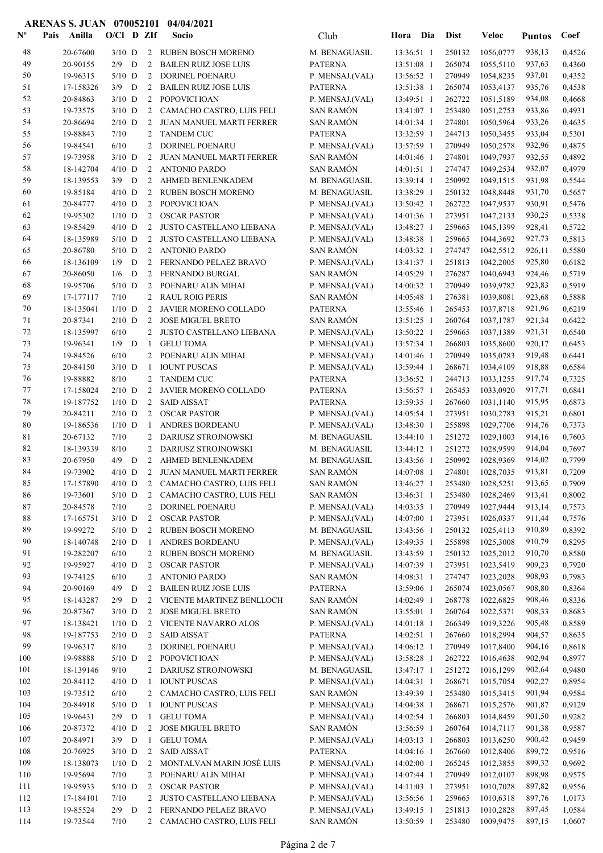| $\mathbf{N}^{\mathbf{o}}$ | Anilla<br>Pais        | $O/C1$ D ZIf         |   |                      | Socio                                            | Club                                | Hora                     | Dia        | <b>Dist</b>      | Veloc                  | <b>Puntos</b>    | Coef             |
|---------------------------|-----------------------|----------------------|---|----------------------|--------------------------------------------------|-------------------------------------|--------------------------|------------|------------------|------------------------|------------------|------------------|
| 48                        | 20-67600              | $3/10$ D             |   |                      | 2 RUBEN BOSCH MORENO                             | M. BENAGUASIL                       | 13:36:51 1               |            | 250132           | 1056,0777              | 938,13           | 0,4526           |
| 49                        | 20-90155              | $2/9$ D              |   | 2                    | <b>BAILEN RUIZ JOSE LUIS</b>                     | <b>PATERNA</b>                      | 13:51:08 1               |            | 265074           | 1055,5110              | 937,63           | 0,4360           |
| 50                        | 19-96315              | $5/10$ D             |   | 2                    | DORINEL POENARU                                  | P. MENSAJ.(VAL)                     | 13:56:52 1               |            | 270949           | 1054,8235              | 937,01           | 0,4352           |
| 51                        | 17-158326             | $3/9$ D              |   | $2^{\circ}$          | <b>BAILEN RUIZ JOSE LUIS</b>                     | <b>PATERNA</b>                      | 13:51:38 1               |            | 265074           | 1053,4137              | 935,76           | 0,4538           |
| 52                        | 20-84863              | $3/10$ D             |   |                      | 2 POPOVICI IOAN                                  | P. MENSAJ.(VAL)                     | 13:49:51 1               |            | 262722           | 1051,5189              | 934,08           | 0,4668           |
| 53                        | 19-73575              | $3/10$ D             |   | 2                    | CAMACHO CASTRO, LUIS FELI                        | <b>SAN RAMÓN</b>                    | 13:41:07 1               |            | 253480           | 1051,2753              | 933,86           | 0,4931           |
| 54                        | 20-86694              | $2/10$ D             |   |                      | 2 JUAN MANUEL MARTI FERRER                       | <b>SAN RAMÓN</b>                    | 14:01:34 1               |            | 274801           | 1050,5964              | 933,26           | 0,4635           |
| 55                        | 19-88843              | 7/10                 |   | 2                    | <b>TANDEM CUC</b>                                | <b>PATERNA</b>                      | 13:32:59 1               |            | 244713<br>270949 | 1050,3455              | 933,04           | 0,5301           |
| 56<br>57                  | 19-84541<br>19-73958  | 6/10<br>$3/10$ D     |   | 2<br>2               | DORINEL POENARU<br>JUAN MANUEL MARTI FERRER      | P. MENSAJ.(VAL)<br><b>SAN RAMÓN</b> | 13:57:59 1<br>14:01:46 1 |            | 274801           | 1050,2578<br>1049,7937 | 932,96<br>932,55 | 0,4875<br>0,4892 |
| 58                        | 18-142704             | $4/10$ D             |   | 2                    | <b>ANTONIO PARDO</b>                             | <b>SAN RAMÓN</b>                    | 14:01:51 1               |            | 274747           | 1049,2534              | 932,07           | 0,4979           |
| 59                        | 18-139553             | $3/9$ D              |   | 2                    | AHMED BENLENKADEM                                | M. BENAGUASIL                       | 13:39:14 1               |            | 250992           | 1049,1515              | 931,98           | 0,5544           |
| 60                        | 19-85184              | $4/10$ D             |   | $\overline{2}$       | <b>RUBEN BOSCH MORENO</b>                        | M. BENAGUASIL                       | 13:38:29 1               |            | 250132           | 1048,8448              | 931,70           | 0,5657           |
| 61                        | 20-84777              | $4/10$ D             |   | 2                    | POPOVICI IOAN                                    | P. MENSAJ.(VAL)                     | 13:50:42 1               |            | 262722           | 1047,9537              | 930,91           | 0,5476           |
| 62                        | 19-95302              | $1/10$ D             |   | 2                    | <b>OSCAR PASTOR</b>                              | P. MENSAJ.(VAL)                     | 14:01:36 1               |            | 273951           | 1047,2133              | 930,25           | 0,5338           |
| 63                        | 19-85429              | $4/10$ D             |   | 2                    | JUSTO CASTELLANO LIEBANA                         | P. MENSAJ.(VAL)                     | 13:48:27 1               |            | 259665           | 1045,1399              | 928,41           | 0,5722           |
| 64                        | 18-135989             | $5/10$ D             |   | 2                    | JUSTO CASTELLANO LIEBANA                         | P. MENSAJ.(VAL)                     | 13:48:38 1               |            | 259665           | 1044,3692              | 927,73           | 0,5813           |
| 65                        | 20-86780              | $5/10$ D             |   | $\overline{2}$       | ANTONIO PARDO                                    | <b>SAN RAMÓN</b>                    | 14:03:32 1               |            | 274747           | 1042,5512              | 926,11           | 0,5580           |
| 66                        | 18-136109             | 1/9                  | D |                      | 2 FERNANDO PELAEZ BRAVO                          | P. MENSAJ.(VAL)                     | 13:41:37 1               |            | 251813           | 1042,2005              | 925,80           | 0,6182           |
| 67                        | 20-86050              | 1/6                  | D | 2                    | FERNANDO BURGAL                                  | <b>SAN RAMÓN</b>                    | 14:05:29 1               |            | 276287           | 1040,6943              | 924,46           | 0,5719           |
| 68                        | 19-95706              | $5/10$ D             |   | 2                    | POENARU ALIN MIHAI                               | P. MENSAJ.(VAL)                     | 14:00:32 1               |            | 270949           | 1039,9782              | 923,83           | 0,5919           |
| 69                        | 17-177117             | 7/10                 |   | 2                    | <b>RAUL ROIG PERIS</b>                           | <b>SAN RAMÓN</b>                    | 14:05:48 1               |            | 276381           | 1039,8081              | 923,68           | 0,5888           |
| 70                        | 18-135041             | $1/10$ D             |   | 2                    | JAVIER MORENO COLLADO                            | <b>PATERNA</b>                      | 13:55:46 1               |            | 265453           | 1037,8718              | 921,96           | 0,6219           |
| 71                        | 20-87341              | $2/10$ D             |   | 2                    | <b>JOSE MIGUEL BRETO</b>                         | <b>SAN RAMÓN</b>                    | 13:51:25 1               |            | 260764           | 1037,1787              | 921,34           | 0.6422           |
| 72<br>73                  | 18-135997<br>19-96341 | 6/10<br>$1/9$ D      |   | $\overline{2}$       | JUSTO CASTELLANO LIEBANA                         | P. MENSAJ.(VAL)                     | 13:50:22 1<br>13:57:34 1 |            | 259665<br>266803 | 1037,1389              | 921,31<br>920,17 | 0,6540<br>0,6453 |
| 74                        | 19-84526              | 6/10                 |   | -1<br>$\overline{2}$ | <b>GELU TOMA</b><br>POENARU ALIN MIHAI           | P. MENSAJ.(VAL)<br>P. MENSAJ.(VAL)  | 14:01:46 1               |            | 270949           | 1035,8600<br>1035,0783 | 919,48           | 0,6441           |
| 75                        | 20-84150              | $3/10$ D             |   | 1                    | <b>IOUNT PUSCAS</b>                              | P. MENSAJ.(VAL)                     | 13:59:44 1               |            | 268671           | 1034,4109              | 918,88           | 0,6584           |
| 76                        | 19-88882              | 8/10                 |   | 2                    | <b>TANDEM CUC</b>                                | <b>PATERNA</b>                      | 13:36:52 1               |            | 244713           | 1033,1255              | 917,74           | 0,7325           |
| 77                        | 17-158024             | $2/10$ D             |   | 2                    | JAVIER MORENO COLLADO                            | <b>PATERNA</b>                      | 13:56:57 1               |            | 265453           | 1033,0920              | 917,71           | 0,6841           |
| 78                        | 19-187752             | $1/10$ D             |   | 2                    | <b>SAID AISSAT</b>                               | <b>PATERNA</b>                      | 13:59:35 1               |            | 267660           | 1031,1140              | 915,95           | 0,6873           |
| 79                        | 20-84211              | $2/10$ D             |   | 2                    | <b>OSCAR PASTOR</b>                              | P. MENSAJ.(VAL)                     | 14:05:54 1               |            | 273951           | 1030,2783              | 915,21           | 0,6801           |
| 80                        | 19-186536             | $1/10$ D             |   | -1                   | ANDRES BORDEANU                                  | P. MENSAJ.(VAL)                     | 13:48:30 1               |            | 255898           | 1029,7706              | 914,76           | 0,7373           |
| 81                        | 20-67132              | 7/10                 |   | 2                    | DARIUSZ STROJNOWSKI                              | M. BENAGUASIL                       | 13:44:10 1               |            | 251272           | 1029,1003              | 914,16           | 0,7603           |
| 82                        | 18-139339             | 8/10                 |   | 2                    | <b>DARIUSZ STROJNOWSKI</b>                       | M. BENAGUASIL                       | 13:44:12 1               |            | 251272           | 1028,9599              | 914,04           | 0,7697           |
| 83                        | 20-67950              | $4/9$ D              |   | 2                    | AHMED BENLENKADEM                                | M. BENAGUASIL                       | 13:43:56 1               |            | 250992           | 1028,9369              | 914,02           | 0,7799           |
| 84                        | 19-73902              | $4/10$ D             |   |                      | 2 JUAN MANUEL MARTI FERRER                       | <b>SAN RAMÓN</b>                    | 14:07:08 1               |            | 274801           | 1028,7035              | 913,81           | 0,7209           |
| 85                        |                       |                      |   |                      | 17-157890 4/10 D 2 CAMACHO CASTRO, LUIS FELI     | SAN RAMÓN                           |                          | 13:46:27 1 |                  | 253480 1028,5251       | 913,65           | 0,7909           |
| 86                        | 19-73601              |                      |   |                      | 5/10 D 2 CAMACHO CASTRO, LUIS FELI               | <b>SAN RAMÓN</b>                    | 13:46:31 1               |            | 253480           | 1028,2469              | 913,41           | 0,8002           |
| 87                        | 20-84578              | 7/10                 |   |                      | 2 DORINEL POENARU                                | P. MENSAJ.(VAL)                     | 14:03:35 1               |            | 270949           | 1027,9444              | 913,14           | 0,7573           |
| 88<br>89                  | 17-165751<br>19-99272 | $3/10$ D<br>$5/10$ D |   | 2                    | <b>OSCAR PASTOR</b><br>2 RUBEN BOSCH MORENO      | P. MENSAJ.(VAL)<br>M. BENAGUASIL    | 14:07:00 1<br>13:43:56 1 |            | 273951<br>250132 | 1026,0337<br>1025,4113 | 911,44<br>910,89 | 0,7576<br>0,8392 |
| 90                        | 18-140748             | $2/10$ D             |   | -1                   | ANDRES BORDEANU                                  | P. MENSAJ.(VAL)                     | 13:49:35 1               |            | 255898           | 1025,3008              | 910,79           | 0,8295           |
| 91                        | 19-282207             | 6/10                 |   |                      | 2 RUBEN BOSCH MORENO                             | M. BENAGUASIL                       | 13:43:59 1               |            | 250132           | 1025,2012              | 910,70           | 0,8580           |
| 92                        | 19-95927              | $4/10$ D             |   | 2                    | <b>OSCAR PASTOR</b>                              | P. MENSAJ.(VAL)                     | 14:07:39 1               |            | 273951           | 1023,5419              | 909,23           | 0,7920           |
| 93                        | 19-74125              | 6/10                 |   |                      | 2 ANTONIO PARDO                                  | <b>SAN RAMÓN</b>                    | 14:08:31 1               |            | 274747           | 1023,2028              | 908,93           | 0,7983           |
| 94                        | 20-90169              | $4/9$ D              |   | $2^{\circ}$          | <b>BAILEN RUIZ JOSE LUIS</b>                     | <b>PATERNA</b>                      | 13:59:06 1               |            | 265074           | 1023,0567              | 908,80           | 0,8364           |
| 95                        | 18-143287             | $2/9$ D              |   |                      | 2 VICENTE MARTINEZ BENLLOCH                      | SAN RAMÓN                           | 14:02:49 1               |            | 268778           | 1022,6825              | 908,46           | 0,8336           |
| 96                        | 20-87367              | $3/10$ D             |   |                      | 2 JOSE MIGUEL BRETO                              | <b>SAN RAMÓN</b>                    | 13:55:01 1               |            | 260764           | 1022,5371              | 908,33           | 0,8683           |
| 97                        | 18-138421             | $1/10$ D             |   |                      | 2 VICENTE NAVARRO ALOS                           | P. MENSAJ.(VAL)                     | $14:01:18$ 1             |            | 266349           | 1019,3226              | 905,48           | 0,8589           |
| 98                        | 19-187753             | $2/10$ D             |   | $\mathbf{2}$         | <b>SAID AISSAT</b>                               | <b>PATERNA</b>                      | 14:02:51 1               |            | 267660           | 1018,2994              | 904,57           | 0,8635           |
| 99                        | 19-96317              | 8/10                 |   |                      | 2 DORINEL POENARU                                | P. MENSAJ.(VAL)                     | 14:06:12 1               |            | 270949           | 1017,8400              | 904,16           | 0,8618           |
| 100                       | 19-98888              | $5/10$ D             |   | $\mathbf{2}$         | POPOVICI IOAN                                    | P. MENSAJ.(VAL)                     | 13:58:28 1               |            | 262722           | 1016,4638              | 902,94           | 0,8977           |
| 101                       | 18-139146             | 9/10                 |   |                      | 2 DARIUSZ STROJNOWSKI                            | M. BENAGUASIL                       | 13:47:17 1               |            | 251272           | 1016,1299              | 902,64           | 0,9480           |
| 102                       | 20-84112              | $4/10$ D             |   | -1                   | <b>IOUNT PUSCAS</b>                              | P. MENSAJ.(VAL)                     | 14:04:31 1               |            | 268671           | 1015,7054              | 902,27           | 0,8954           |
| 103<br>104                | 19-73512              | 6/10                 |   | $\overline{2}$       | CAMACHO CASTRO, LUIS FELI<br><b>IOUNT PUSCAS</b> | <b>SAN RAMÓN</b>                    | 13:49:39 1               |            | 253480<br>268671 | 1015,3415              | 901,94<br>901,87 | 0,9584<br>0,9129 |
| 105                       | 20-84918<br>19-96431  | $5/10$ D<br>$2/9$ D  |   | -1<br>1              | <b>GELU TOMA</b>                                 | P. MENSAJ.(VAL)<br>P. MENSAJ.(VAL)  | 14:04:38 1<br>14:02:54 1 |            | 266803           | 1015,2576<br>1014,8459 | 901,50           | 0,9282           |
| 106                       | 20-87372              | $4/10$ D             |   | 2                    | <b>JOSE MIGUEL BRETO</b>                         | <b>SAN RAMÓN</b>                    | 13:56:59 1               |            | 260764           | 1014,7117              | 901,38           | 0,9587           |
| 107                       | 20-84971              | $3/9$ D              |   | $\mathbf{1}$         | <b>GELU TOMA</b>                                 | P. MENSAJ.(VAL)                     | 14:03:13 1               |            | 266803           | 1013,6250              | 900,42           | 0,9459           |
| 108                       | 20-76925              | $3/10$ D             |   | 2                    | <b>SAID AISSAT</b>                               | <b>PATERNA</b>                      | 14:04:16 1               |            | 267660           | 1012,8406              | 899,72           | 0,9516           |
| 109                       | 18-138073             | $1/10$ D             |   | $2^{\circ}$          | MONTALVAN MARIN JOSÉ LUIS                        | P. MENSAJ.(VAL)                     | 14:02:00 1               |            | 265245           | 1012,3855              | 899,32           | 0,9692           |
| 110                       | 19-95694              | 7/10                 |   |                      | 2 POENARU ALIN MIHAI                             | P. MENSAJ.(VAL)                     | 14:07:44 1               |            | 270949           | 1012,0107              | 898,98           | 0,9575           |
| 111                       | 19-95933              | $5/10$ D             |   | 2                    | <b>OSCAR PASTOR</b>                              | P. MENSAJ.(VAL)                     | 14:11:03 1               |            | 273951           | 1010,7028              | 897,82           | 0,9556           |
| 112                       | 17-184101             | 7/10                 |   |                      | 2 JUSTO CASTELLANO LIEBANA                       | P. MENSAJ.(VAL)                     | 13:56:56 1               |            | 259665           | 1010,6318              | 897,76           | 1,0173           |
| 113                       | 19-85524              | $2/9$ D              |   |                      | 2 FERNANDO PELAEZ BRAVO                          | P. MENSAJ.(VAL)                     | 13:49:15 1               |            | 251813           | 1010,2828              | 897,45           | 1,0584           |
| 114                       | 19-73544              | 7/10                 |   |                      | 2 CAMACHO CASTRO, LUIS FELI                      | SAN RAMÓN                           | 13:50:59 1               |            | 253480           | 1009,9475              | 897,15           | 1,0607           |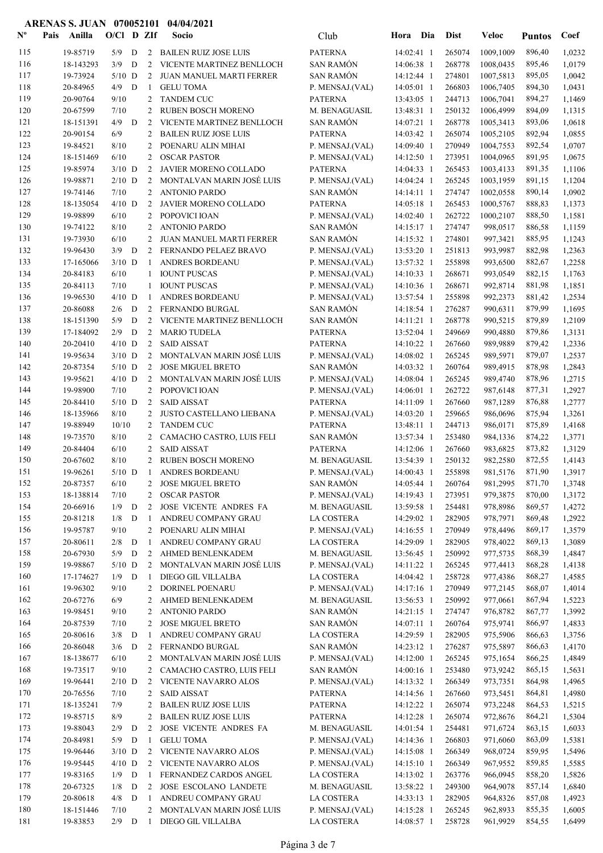| $N^{\text{o}}$ | Pais | Anilla               | $O/Cl$ D ZIf        |   |                | Socio                                              | Club                               | Hora Dia                   | <b>Dist</b>       | Veloc                  | <b>Puntos</b>    | Coef             |
|----------------|------|----------------------|---------------------|---|----------------|----------------------------------------------------|------------------------------------|----------------------------|-------------------|------------------------|------------------|------------------|
| 115            |      | 19-85719             | 5/9                 | D |                | 2 BAILEN RUIZ JOSE LUIS                            | <b>PATERNA</b>                     | 14:02:41 1                 | 265074            | 1009,1009              | 896,40           | 1,0232           |
| 116            |      | 18-143293            | 3/9                 | D | 2              | VICENTE MARTINEZ BENLLOCH                          | <b>SAN RAMÓN</b>                   | 14:06:38 1                 | 268778            | 1008,0435              | 895,46           | 1,0179           |
| 117            |      | 19-73924             | $5/10$ D            |   | 2              | JUAN MANUEL MARTI FERRER                           | <b>SAN RAMÓN</b>                   | 14:12:44 1                 | 274801            | 1007,5813              | 895,05           | 1,0042           |
| 118            |      | 20-84965             | 4/9                 | D | -1             | <b>GELU TOMA</b>                                   | P. MENSAJ.(VAL)                    | 14:05:01 1                 | 266803            | 1006,7405              | 894,30           | 1,0431           |
| 119            |      | 20-90764             | 9/10                |   |                | 2 TANDEM CUC                                       | <b>PATERNA</b>                     | 13:43:05 1                 | 244713            | 1006,7041              | 894,27           | 1,1469           |
| 120            |      | 20-67599             | 7/10                |   |                | 2 RUBEN BOSCH MORENO                               | M. BENAGUASIL                      | 13:48:31 1                 | 250132            | 1006,4999              | 894,09           | 1,1315           |
| 121<br>122     |      | 18-151391            | $4/9$ D             |   | 2              | VICENTE MARTINEZ BENLLOCH                          | <b>SAN RAMÓN</b>                   | 14:07:21 1                 | 268778            | 1005,3413              | 893,06           | 1,0618           |
| 123            |      | 20-90154<br>19-84521 | 6/9<br>8/10         |   | 2<br>2         | <b>BAILEN RUIZ JOSE LUIS</b><br>POENARU ALIN MIHAI | <b>PATERNA</b><br>P. MENSAJ.(VAL)  | 14:03:42 1<br>14:09:40 1   | 265074<br>270949  | 1005,2105<br>1004,7553 | 892,94<br>892,54 | 1,0855<br>1,0707 |
| 124            |      | 18-151469            | 6/10                |   | 2              | <b>OSCAR PASTOR</b>                                | P. MENSAJ.(VAL)                    | 14:12:50 1                 | 273951            | 1004,0965              | 891,95           | 1,0675           |
| 125            |      | 19-85974             | $3/10$ D            |   | 2              | JAVIER MORENO COLLADO                              | <b>PATERNA</b>                     | 14:04:33 1                 | 265453            | 1003,4133              | 891,35           | 1,1106           |
| 126            |      | 19-98871             | $2/10$ D            |   | $\overline{2}$ | MONTALVAN MARIN JOSÉ LUIS                          | P. MENSAJ.(VAL)                    | 14:04:24 1                 | 265245            | 1003,1959              | 891,15           | 1,1204           |
| 127            |      | 19-74146             | 7/10                |   | $\overline{2}$ | <b>ANTONIO PARDO</b>                               | <b>SAN RAMÓN</b>                   | $14:14:11$ 1               | 274747            | 1002,0558              | 890,14           | 1,0902           |
| 128            |      | 18-135054            | $4/10$ D            |   | 2              | JAVIER MORENO COLLADO                              | <b>PATERNA</b>                     | 14:05:18 1                 | 265453            | 1000,5767              | 888,83           | 1,1373           |
| 129            |      | 19-98899             | 6/10                |   | $\overline{2}$ | POPOVICI IOAN                                      | P. MENSAJ.(VAL)                    | 14:02:40 1                 | 262722            | 1000,2107              | 888,50           | 1,1581           |
| 130            |      | 19-74122             | 8/10                |   | 2              | <b>ANTONIO PARDO</b>                               | <b>SAN RAMÓN</b>                   | 14:15:17 1                 | 274747            | 998,0517               | 886,58           | 1,1159           |
| 131            |      | 19-73930             | 6/10                |   | 2              | JUAN MANUEL MARTI FERRER                           | <b>SAN RAMÓN</b>                   | 14:15:32 1                 | 274801            | 997,3421               | 885,95           | 1,1243           |
| 132            |      | 19-96430             | $3/9$ D             |   |                | 2 FERNANDO PELAEZ BRAVO                            | P. MENSAJ.(VAL)                    | 13:53:20 1                 | 251813            | 993,9987               | 882,98           | 1,2363           |
| 133            |      | 17-165066            | $3/10$ D            |   | 1              | <b>ANDRES BORDEANU</b>                             | P. MENSAJ.(VAL)                    | 13:57:32 1                 | 255898            | 993,6500               | 882,67           | 1,2258           |
| 134            |      | 20-84183             | 6/10                |   | 1              | <b>IOUNT PUSCAS</b>                                | P. MENSAJ.(VAL)                    | 14:10:33 1                 | 268671            | 993,0549               | 882,15           | 1,1763           |
| 135<br>136     |      | 20-84113<br>19-96530 | 7/10<br>$4/10$ D    |   | 1<br>-1        | <b>IOUNT PUSCAS</b><br>ANDRES BORDEANU             | P. MENSAJ.(VAL)<br>P. MENSAJ.(VAL) | 14:10:36 1<br>13:57:54 1   | 268671<br>255898  | 992,8714<br>992,2373   | 881,98<br>881,42 | 1,1851<br>1,2534 |
| 137            |      | 20-86088             | 2/6                 | D |                | 2 FERNANDO BURGAL                                  | <b>SAN RAMÓN</b>                   | 14:18:54 1                 | 276287            | 990,6311               | 879,99           | 1,1695           |
| 138            |      | 18-151390            | 5/9                 | D | 2              | VICENTE MARTINEZ BENLLOCH                          | <b>SAN RAMÓN</b>                   | 14:11:21 1                 | 268778            | 990.5215               | 879,89           | 1,2109           |
| 139            |      | 17-184092            | 2/9                 | D | 2              | <b>MARIO TUDELA</b>                                | <b>PATERNA</b>                     | 13:52:04 1                 | 249669            | 990,4880               | 879,86           | 1,3131           |
| 140            |      | 20-20410             | $4/10$ D            |   | 2              | <b>SAID AISSAT</b>                                 | <b>PATERNA</b>                     | 14:10:22 1                 | 267660            | 989,9889               | 879,42           | 1,2336           |
| 141            |      | 19-95634             | $3/10$ D            |   | $\overline{2}$ | MONTALVAN MARIN JOSÉ LUIS                          | P. MENSAJ.(VAL)                    | 14:08:02 1                 | 265245            | 989,5971               | 879,07           | 1,2537           |
| 142            |      | 20-87354             | $5/10$ D            |   | $\overline{2}$ | <b>JOSE MIGUEL BRETO</b>                           | <b>SAN RAMÓN</b>                   | 14:03:32 1                 | 260764            | 989,4915               | 878,98           | 1,2843           |
| 143            |      | 19-95621             | $4/10$ D            |   | $\overline{2}$ | MONTALVAN MARIN JOSÉ LUIS                          | P. MENSAJ.(VAL)                    | 14:08:04 1                 | 265245            | 989,4740               | 878,96           | 1,2715           |
| 144            |      | 19-98900             | 7/10                |   | 2              | POPOVICI IOAN                                      | P. MENSAJ.(VAL)                    | 14:06:01 1                 | 262722            | 987,6148               | 877,31           | 1,2927           |
| 145            |      | 20-84410             | $5/10$ D            |   | 2              | <b>SAID AISSAT</b>                                 | <b>PATERNA</b>                     | 14:11:09 1                 | 267660            | 987,1289               | 876,88           | 1,2777           |
| 146            |      | 18-135966            | 8/10                |   | 2              | JUSTO CASTELLANO LIEBANA                           | P. MENSAJ.(VAL)                    | $14:03:20$ 1               | 259665            | 986,0696               | 875,94           | 1,3261           |
| 147            |      | 19-88949             | 10/10               |   | 2              | <b>TANDEM CUC</b>                                  | <b>PATERNA</b>                     | 13:48:11 1                 | 244713            | 986,0171               | 875,89           | 1,4168           |
| 148            |      | 19-73570             | 8/10                |   | 2              | CAMACHO CASTRO, LUIS FELI                          | <b>SAN RAMÓN</b>                   | 13:57:34 1                 | 253480            | 984,1336               | 874,22           | 1,3771           |
| 149<br>150     |      | 20-84404<br>20-67602 | 6/10<br>8/10        |   | 2<br>2         | <b>SAID AISSAT</b><br><b>RUBEN BOSCH MORENO</b>    | <b>PATERNA</b><br>M. BENAGUASIL    | 14:12:06 1<br>13:54:39 1   | 267660<br>250132  | 983,6825<br>982,2580   | 873,82<br>872,55 | 1,3129<br>1,4143 |
| 151            |      | 19-96261             | $5/10$ D            |   | $\mathbf{1}$   | ANDRES BORDEANU                                    | P. MENSAJ.(VAL)                    | 14:00:43 1                 | 255898            | 981,5176               | 871,90           | 1,3917           |
| 152            |      | 20-87357             | 6/10                |   |                | 2 JOSE MIGUEL BRETO                                | SAN RAMÓN                          |                            | 14:05:44 1 260764 | 981,2995               | 871,70           | 1,3748           |
| 153            |      | 18-138814            | 7/10                |   | 2              | <b>OSCAR PASTOR</b>                                | P. MENSAJ.(VAL)                    | 14:19:43 1                 | 273951            | 979,3875               | 870,00           | 1,3172           |
| 154            |      | 20-66916             | $1/9$ D             |   | 2              | JOSE VICENTE ANDRES FA                             | M. BENAGUASIL                      | 13:59:58 1                 | 254481            | 978,8986               | 869,57           | 1,4272           |
| 155            |      | 20-81218             | $1/8$ D             |   | -1             | ANDREU COMPANY GRAU                                | LA COSTERA                         | 14:29:02 1                 | 282905            | 978,7971               | 869,48           | 1,2922           |
| 156            |      | 19-95787             | 9/10                |   |                | 2 POENARU ALIN MIHAI                               | P. MENSAJ.(VAL)                    | 14:16:55 1                 | 270949            | 978,4496               | 869,17           | 1,3579           |
| 157            |      | 20-80611             | $2/8$ D             |   | -1             | ANDREU COMPANY GRAU                                | LA COSTERA                         | 14:29:09 1                 | 282905            | 978,4022               | 869,13           | 1,3089           |
| 158            |      | 20-67930             | $5/9$ D             |   | $\overline{2}$ | AHMED BENLENKADEM                                  | M. BENAGUASIL                      | 13:56:45 1                 | 250992            | 977,5735               | 868,39           | 1,4847           |
| 159            |      | 19-98867             | $5/10$ D            |   |                | 2 MONTALVAN MARIN JOSÉ LUIS                        | P. MENSAJ.(VAL)                    | 14:11:22 1                 | 265245            | 977,4413               | 868,28           | 1,4138           |
| 160            |      | 17-174627            | $1/9$ D             |   | -1             | DIEGO GIL VILLALBA                                 | LA COSTERA                         | 14:04:42 1                 | 258728            | 977,4386               | 868,27           | 1,4585           |
| 161            |      | 19-96302             | 9/10                |   | 2              | DORINEL POENARU                                    | P. MENSAJ.(VAL)                    | 14:17:16 1                 | 270949            | 977,2145               | 868,07           | 1,4014           |
| 162<br>163     |      | 20-67276<br>19-98451 | 6/9<br>9/10         |   | 2<br>2         | AHMED BENLENKADEM<br><b>ANTONIO PARDO</b>          | M. BENAGUASIL<br><b>SAN RAMÓN</b>  | 13:56:53 1<br>14:21:15 1   | 250992<br>274747  | 977,0661<br>976,8782   | 867,94<br>867,77 | 1,5223<br>1,3992 |
| 164            |      | 20-87539             | 7/10                |   | 2              | <b>JOSE MIGUEL BRETO</b>                           | <b>SAN RAMÓN</b>                   | 14:07:11 1                 | 260764            | 975,9741               | 866,97           | 1,4833           |
| 165            |      | 20-80616             | $3/8$ D             |   | -1             | ANDREU COMPANY GRAU                                | LA COSTERA                         | 14:29:59 1                 | 282905            | 975,5906               | 866,63           | 1,3756           |
| 166            |      | 20-86048             | $3/6$ D             |   |                | 2 FERNANDO BURGAL                                  | SAN RAMÓN                          | 14:23:12 1                 | 276287            | 975,5897               | 866,63           | 1,4170           |
| 167            |      | 18-138677            | 6/10                |   |                | 2 MONTALVAN MARIN JOSÉ LUIS                        | P. MENSAJ.(VAL)                    | 14:12:00 1                 | 265245            | 975,1654               | 866,25           | 1,4849           |
| 168            |      | 19-73517             | 9/10                |   |                | 2 CAMACHO CASTRO, LUIS FELI                        | <b>SAN RAMÓN</b>                   | 14:00:16 1                 | 253480            | 973,9242               | 865,15           | 1,5631           |
| 169            |      | 19-96441             | $2/10$ D            |   | 2              | VICENTE NAVARRO ALOS                               | P. MENSAJ.(VAL)                    | 14:13:32 1                 | 266349            | 973,7351               | 864,98           | 1,4965           |
| 170            |      | 20-76556             | 7/10                |   | 2              | <b>SAID AISSAT</b>                                 | PATERNA                            | 14:14:56 1                 | 267660            | 973,5451               | 864,81           | 1,4980           |
| 171            |      | 18-135241            | 7/9                 |   | 2              | <b>BAILEN RUIZ JOSE LUIS</b>                       | PATERNA                            | 14:12:22 1                 | 265074            | 973,2248               | 864,53           | 1,5215           |
| 172            |      | 19-85715             | 8/9                 |   | 2              | <b>BAILEN RUIZ JOSE LUIS</b>                       | <b>PATERNA</b>                     | 14:12:28 1                 | 265074            | 972,8676               | 864,21           | 1,5304           |
| 173            |      | 19-88043             | 2/9                 | D | 2              | JOSE VICENTE ANDRES FA                             | M. BENAGUASIL                      | 14:01:54 1                 | 254481            | 971,6724               | 863,15           | 1,6033           |
| 174            |      | 20-84981             | $5/9$ D             |   | -1             | <b>GELU TOMA</b>                                   | P. MENSAJ.(VAL)                    | 14:14:36 1                 | 266803            | 971,6060               | 863,09           | 1,5381           |
| 175            |      | 19-96446             | $3/10$ D            |   |                | 2 VICENTE NAVARRO ALOS                             | P. MENSAJ.(VAL)                    | 14:15:08 1                 | 266349            | 968,0724               | 859,95           | 1,5496           |
| 176<br>177     |      | 19-95445<br>19-83165 | $4/10$ D<br>$1/9$ D |   | -1             | 2 VICENTE NAVARRO ALOS<br>FERNANDEZ CARDOS ANGEL   | P. MENSAJ.(VAL)<br>LA COSTERA      | $14:15:10$ 1<br>14:13:02 1 | 266349<br>263776  | 967,9552<br>966,0945   | 859,85<br>858,20 | 1,5585<br>1,5826 |
| 178            |      | 20-67325             | 1/8                 | D | $\overline{2}$ | <b>JOSE ESCOLANO LANDETE</b>                       | M. BENAGUASIL                      | 13:58:22 1                 | 249300            | 964,9078               | 857,14           | 1,6840           |
| 179            |      | 20-80618             | $4/8$ D             |   | 1              | ANDREU COMPANY GRAU                                | LA COSTERA                         | 14:33:13 1                 | 282905            | 964,8326               | 857,08           | 1,4923           |
| 180            |      | 18-151446            | 7/10                |   |                | 2 MONTALVAN MARIN JOSÉ LUIS                        | P. MENSAJ.(VAL)                    | 14:15:28 1                 | 265245            | 962,8933               | 855,35           | 1,6005           |
| 181            |      | 19-83853             | $2/9$ D             |   | $\overline{1}$ | DIEGO GIL VILLALBA                                 | LA COSTERA                         | 14:08:57 1                 | 258728            | 961,9929               | 854,55           | 1,6499           |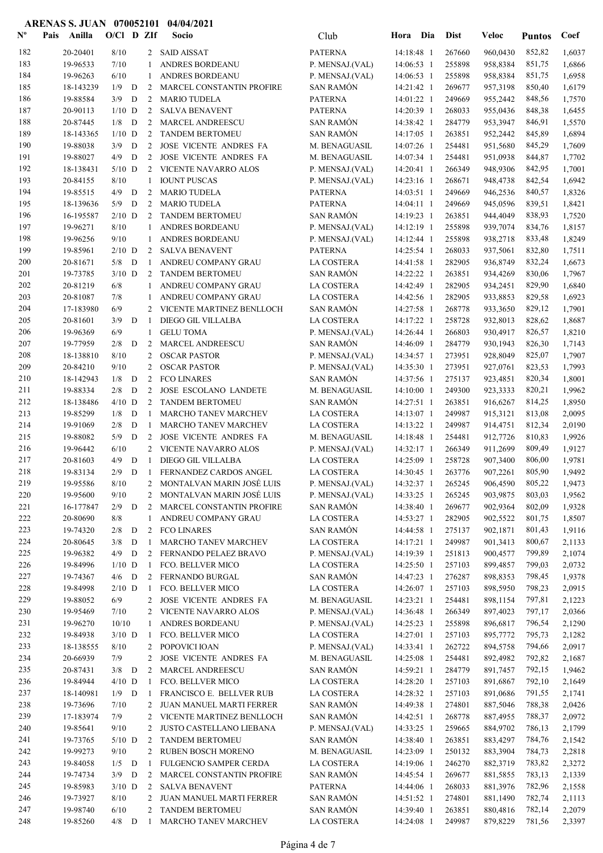| $\mathbf{N}^{\mathbf{o}}$ | Pais | Anilla                | $O/Cl$ D ZIf        |             |                                | Socio                                                      | Club                               | Hora Dia                 | <b>Dist</b>      | <b>Veloc</b>         | <b>Puntos</b>    | Coef             |
|---------------------------|------|-----------------------|---------------------|-------------|--------------------------------|------------------------------------------------------------|------------------------------------|--------------------------|------------------|----------------------|------------------|------------------|
| 182                       |      | 20-20401              | 8/10                |             |                                | 2 SAID AISSAT                                              | <b>PATERNA</b>                     | 14:18:48 1               | 267660           | 960,0430             | 852,82           | 1,6037           |
| 183                       |      | 19-96533              | 7/10                |             | 1                              | ANDRES BORDEANU                                            | P. MENSAJ.(VAL)                    | 14:06:53 1               | 255898           | 958,8384             | 851,75           | 1,6866           |
| 184                       |      | 19-96263              | 6/10                |             | 1                              | ANDRES BORDEANU                                            | P. MENSAJ.(VAL)                    | 14:06:53 1               | 255898           | 958,8384             | 851,75           | 1,6958           |
| 185                       |      | 18-143239             | 1/9                 | D           | 2                              | MARCEL CONSTANTIN PROFIRE                                  | <b>SAN RAMÓN</b>                   | 14:21:42 1               | 269677           | 957,3198             | 850,40           | 1,6179           |
| 186                       |      | 19-88584              | 3/9                 | D           | 2                              | <b>MARIO TUDELA</b>                                        | <b>PATERNA</b>                     | 14:01:22 1               | 249669           | 955,2442             | 848,56           | 1,7570           |
| 187                       |      | 20-90113              | $1/10$ D            |             | 2                              | <b>SALVA BENAVENT</b>                                      | <b>PATERNA</b>                     | 14:20:39 1               | 268033           | 955,0436             | 848,38           | 1,6455           |
| 188                       |      | 20-87445              | 1/8                 | D           | 2                              | MARCEL ANDREESCU                                           | <b>SAN RAMÓN</b>                   | 14:38:42 1               | 284779           | 953,3947             | 846,91           | 1,5570           |
| 189                       |      | 18-143365             | $1/10$ D            |             | 2                              | <b>TANDEM BERTOMEU</b><br>JOSE VICENTE ANDRES FA           | <b>SAN RAMÓN</b>                   | 14:17:05 1               | 263851           | 952,2442             | 845,89           | 1,6894           |
| 190<br>191                |      | 19-88038<br>19-88027  | 3/9<br>4/9          | D<br>D      | 2<br>2                         | JOSE VICENTE ANDRES FA                                     | M. BENAGUASIL<br>M. BENAGUASIL     | 14:07:26 1<br>14:07:34 1 | 254481<br>254481 | 951,5680<br>951,0938 | 845,29<br>844,87 | 1,7609<br>1,7702 |
| 192                       |      | 18-138431             | $5/10$ D            |             | 2                              | <b>VICENTE NAVARRO ALOS</b>                                | P. MENSAJ.(VAL)                    | 14:20:41 1               | 266349           | 948,9306             | 842,95           | 1,7001           |
| 193                       |      | 20-84155              | 8/10                |             | $\mathbf{1}$                   | <b>IOUNT PUSCAS</b>                                        | P. MENSAJ.(VAL)                    | 14:23:16 1               | 268671           | 948,4738             | 842,54           | 1,6942           |
| 194                       |      | 19-85515              | 4/9                 | D           | 2                              | <b>MARIO TUDELA</b>                                        | <b>PATERNA</b>                     | 14:03:51 1               | 249669           | 946,2536             | 840,57           | 1,8326           |
| 195                       |      | 18-139636             | 5/9                 | D           | 2                              | <b>MARIO TUDELA</b>                                        | <b>PATERNA</b>                     | $14:04:11$ 1             | 249669           | 945,0596             | 839,51           | 1,8421           |
| 196                       |      | 16-195587             | $2/10$ D            |             | 2                              | <b>TANDEM BERTOMEU</b>                                     | <b>SAN RAMÓN</b>                   | 14:19:23 1               | 263851           | 944,4049             | 838,93           | 1,7520           |
| 197                       |      | 19-96271              | 8/10                |             | 1                              | ANDRES BORDEANU                                            | P. MENSAJ.(VAL)                    | 14:12:19 1               | 255898           | 939,7074             | 834,76           | 1,8157           |
| 198                       |      | 19-96256              | 9/10                |             | 1                              | ANDRES BORDEANU                                            | P. MENSAJ.(VAL)                    | 14:12:44 1               | 255898           | 938,2718             | 833,48           | 1,8249           |
| 199                       |      | 19-85961              | $2/10$ D            |             | 2                              | <b>SALVA BENAVENT</b>                                      | <b>PATERNA</b>                     | 14:25:54 1               | 268033           | 937,5061             | 832,80           | 1,7511           |
| 200                       |      | 20-81671              | 5/8                 | D           | -1                             | ANDREU COMPANY GRAU                                        | <b>LA COSTERA</b>                  | 14:41:58 1               | 282905           | 936,8749             | 832,24           | 1,6673           |
| 201                       |      | 19-73785              | $3/10$ D            |             | 2                              | <b>TANDEM BERTOMEU</b>                                     | <b>SAN RAMÓN</b>                   | 14:22:22 1               | 263851           | 934,4269             | 830,06           | 1,7967           |
| 202                       |      | 20-81219              | $6/8$               |             | 1                              | ANDREU COMPANY GRAU                                        | LA COSTERA                         | 14:42:49 1               | 282905           | 934,2451             | 829,90           | 1,6840           |
| 203                       |      | 20-81087              | 7/8                 |             | 1                              | ANDREU COMPANY GRAU                                        | LA COSTERA                         | 14:42:56 1               | 282905           | 933,8853             | 829,58           | 1,6923           |
| 204                       |      | 17-183980             | 6/9                 |             | 2                              | VICENTE MARTINEZ BENLLOCH                                  | <b>SAN RAMÓN</b>                   | 14:27:58 1               | 268778           | 933,3650             | 829,12           | 1,7901           |
| 205                       |      | 20-81601              | 3/9                 | D           | -1                             | DIEGO GIL VILLALBA                                         | LA COSTERA                         | 14:17:22 1               | 258728           | 932,8013             | 828,62           | 1,8687           |
| 206                       |      | 19-96369              | 6/9                 |             | $\mathbf{1}$                   | <b>GELU TOMA</b>                                           | P. MENSAJ.(VAL)                    | 14:26:44 1               | 266803           | 930,4917             | 826,57           | 1,8210           |
| 207                       |      | 19-77959              | 2/8                 | D           | 2                              | <b>MARCEL ANDREESCU</b>                                    | <b>SAN RAMÓN</b>                   | 14:46:09 1               | 284779           | 930,1943             | 826,30           | 1,7143           |
| 208<br>209                |      | 18-138810<br>20-84210 | 8/10<br>9/10        |             | 2<br>2                         | <b>OSCAR PASTOR</b><br><b>OSCAR PASTOR</b>                 | P. MENSAJ.(VAL)<br>P. MENSAJ.(VAL) | 14:34:57 1<br>14:35:30 1 | 273951<br>273951 | 928,8049<br>927,0761 | 825,07           | 1,7907<br>1,7993 |
| 210                       |      | 18-142943             | 1/8                 | D           | 2                              | <b>FCO LINARES</b>                                         | <b>SAN RAMÓN</b>                   | 14:37:56 1               | 275137           | 923,4851             | 823,53<br>820,34 | 1,8001           |
| 211                       |      | 19-88334              | 2/8                 | D           | 2                              | JOSE ESCOLANO LANDETE                                      | M. BENAGUASIL                      | 14:10:00 1               | 249300           | 923,3333             | 820,21           | 1,9962           |
| 212                       |      | 18-138486             | $4/10$ D            |             | 2                              | <b>TANDEM BERTOMEU</b>                                     | <b>SAN RAMÓN</b>                   | 14:27:51 1               | 263851           | 916,6267             | 814,25           | 1,8950           |
| 213                       |      | 19-85299              | 1/8                 | D           | $\mathbf{1}$                   | <b>MARCHO TANEV MARCHEV</b>                                | LA COSTERA                         | 14:13:07 1               | 249987           | 915,3121             | 813,08           | 2,0095           |
| 214                       |      | 19-91069              | 2/8                 | D           | -1                             | MARCHO TANEV MARCHEV                                       | LA COSTERA                         | 14:13:22 1               | 249987           | 914,4751             | 812,34           | 2,0190           |
| 215                       |      | 19-88082              | 5/9                 | D           | 2                              | JOSE VICENTE ANDRES FA                                     | M. BENAGUASIL                      | 14:18:48 1               | 254481           | 912,7726             | 810,83           | 1,9926           |
| 216                       |      | 19-96442              | 6/10                |             | 2                              | VICENTE NAVARRO ALOS                                       | P. MENSAJ.(VAL)                    | 14:32:17 1               | 266349           | 911,2699             | 809,49           | 1,9127           |
| 217                       |      | 20-81603              | 4/9                 | D           | $\mathbf{1}$                   | DIEGO GIL VILLALBA                                         | <b>LA COSTERA</b>                  | 14:25:09 1               | 258728           | 907,3400             | 806,00           | 1,9781           |
| 218                       |      | 19-83134              | 2/9                 | D           | -1                             | FERNANDEZ CARDOS ANGEL                                     | <b>LA COSTERA</b>                  | 14:30:45 1               | 263776           | 907,2261             | 805,90           | 1,9492           |
| 219                       |      | 19-95586              | $8/10$              |             |                                | 2 MONTALVAN MARIN JOSÉ LUIS                                | P. MENSAJ.(VAL)                    | 14:32:37 1               | 265245           | 906,4590             | 805,22           | 1,9473           |
| 220                       |      | 19-95600              | 9/10                |             |                                | 2 MONTALVAN MARIN JOSÉ LUIS                                | P. MENSAJ.(VAL)                    | 14:33:25 1               | 265245           | 903,9875             | 803,03           | 1,9562           |
| 221                       |      | 16-177847             | $2/9$ D             |             | $\overline{2}$                 | MARCEL CONSTANTIN PROFIRE                                  | SAN RAMÓN                          | 14:38:40 1               | 269677           | 902,9364             | 802,09           | 1,9328           |
| 222                       |      | 20-80690              | 8/8                 |             | 1                              | ANDREU COMPANY GRAU                                        | LA COSTERA                         | 14:53:27 1               | 282905           | 902,5522             | 801,75           | 1,8507           |
| 223                       |      | 19-74320              | 2/8                 | D           |                                | 2 FCO LINARES                                              | SAN RAMÓN                          | 14:44:58 1               | 275137           | 902,1871             | 801,43           | 1,9116           |
| 224                       |      | 20-80645              | 3/8                 | $\mathbf D$ | 1                              | MARCHO TANEV MARCHEV                                       | LA COSTERA                         | 14:17:21 1               | 249987           | 901,3413             | 800,67           | 2,1133           |
| 225                       |      | 19-96382              | $4/9$ D             |             | 2                              | FERNANDO PELAEZ BRAVO                                      | P. MENSAJ.(VAL)                    | 14:19:39 1               | 251813           | 900,4577             | 799,89           | 2,1074           |
| 226<br>227                |      | 19-84996<br>19-74367  | $1/10$ D<br>$4/6$ D |             | $\mathbf{1}$<br>$\overline{2}$ | FCO. BELLVER MICO<br>FERNANDO BURGAL                       | LA COSTERA<br><b>SAN RAMÓN</b>     | 14:25:50 1<br>14:47:23 1 | 257103<br>276287 | 899,4857<br>898,8353 | 799,03<br>798,45 | 2,0732<br>1,9378 |
| 228                       |      | 19-84998              | $2/10$ D            |             | -1                             | FCO. BELLVER MICO                                          | LA COSTERA                         | 14:26:07 1               | 257103           | 898,5950             | 798,23           | 2,0915           |
| 229                       |      | 19-88052              | 6/9                 |             | $\overline{2}$                 | JOSE VICENTE ANDRES FA                                     | M. BENAGUASIL                      | 14:23:21 1               | 254481           | 898,1154             | 797,81           | 2,1223           |
| 230                       |      | 19-95469              | 7/10                |             | 2                              | VICENTE NAVARRO ALOS                                       | P. MENSAJ.(VAL)                    | 14:36:48 1               | 266349           | 897,4023             | 797,17           | 2,0366           |
| 231                       |      | 19-96270              | 10/10               |             | 1                              | ANDRES BORDEANU                                            | P. MENSAJ.(VAL)                    | 14:25:23 1               | 255898           | 896,6817             | 796,54           | 2,1290           |
| 232                       |      | 19-84938              | $3/10$ D            |             | -1                             | FCO. BELLVER MICO                                          | LA COSTERA                         | 14:27:01 1               | 257103           | 895,7772             | 795,73           | 2,1282           |
| 233                       |      | 18-138555             | 8/10                |             | 2                              | POPOVICI IOAN                                              | P. MENSAJ.(VAL)                    | 14:33:41 1               | 262722           | 894,5758             | 794,66           | 2,0917           |
| 234                       |      | 20-66939              | 7/9                 |             | 2                              | JOSE VICENTE ANDRES FA                                     | M. BENAGUASIL                      | 14:25:08 1               | 254481           | 892,4982             | 792,82           | 2,1687           |
| 235                       |      | 20-87431              | $3/8$ D             |             | 2                              | MARCEL ANDREESCU                                           | <b>SAN RAMÓN</b>                   | 14:59:21 1               | 284779           | 891,7457             | 792,15           | 1,9462           |
| 236                       |      | 19-84944              | $4/10$ D            |             | -1                             | FCO. BELLVER MICO                                          | LA COSTERA                         | 14:28:20 1               | 257103           | 891,6867             | 792,10           | 2,1649           |
| 237                       |      | 18-140981             | $1/9$ D             |             | -1                             | FRANCISCO E. BELLVER RUB                                   | LA COSTERA                         | 14:28:32 1               | 257103           | 891,0686             | 791,55           | 2,1741           |
| 238                       |      | 19-73696              | 7/10                |             | 2                              | JUAN MANUEL MARTI FERRER                                   | <b>SAN RAMÓN</b>                   | 14:49:38 1               | 274801           | 887,5046             | 788,38           | 2,0426           |
| 239                       |      | 17-183974             | 7/9                 |             | 2                              | VICENTE MARTINEZ BENLLOCH                                  | <b>SAN RAMÓN</b>                   | 14:42:51 1               | 268778           | 887,4955             | 788,37           | 2,0972           |
| 240                       |      | 19-85641              | 9/10                |             | 2                              | JUSTO CASTELLANO LIEBANA                                   | P. MENSAJ.(VAL)                    | 14:33:25 1               | 259665           | 884,9702             | 786,13           | 2,1799           |
| 241                       |      | 19-73765              | $5/10$ D            |             | 2                              | <b>TANDEM BERTOMEU</b>                                     | <b>SAN RAMÓN</b>                   | 14:38:40 1               | 263851           | 883,4297             | 784,76           | 2,1542           |
| 242<br>243                |      | 19-99273              | 9/10                |             | 2<br>-1                        | <b>RUBEN BOSCH MORENO</b>                                  | M. BENAGUASIL                      | 14:23:09 1               | 250132<br>246270 | 883,3904             | 784,73<br>783,82 | 2,2818           |
| 244                       |      | 19-84058<br>19-74734  | $1/5$ D<br>$3/9$ D  |             | $2^{\circ}$                    | FULGENCIO SAMPER CERDA<br><b>MARCEL CONSTANTIN PROFIRE</b> | LA COSTERA<br><b>SAN RAMÓN</b>     | 14:19:06 1<br>14:45:54 1 | 269677           | 882,3719<br>881,5855 | 783,13           | 2,3272<br>2,1339 |
| 245                       |      | 19-85983              | $3/10$ D            |             | 2                              | <b>SALVA BENAVENT</b>                                      | <b>PATERNA</b>                     | 14:44:06 1               | 268033           | 881,3976             | 782,96           | 2,1558           |
| 246                       |      | 19-73927              | 8/10                |             | 2                              | JUAN MANUEL MARTI FERRER                                   | SAN RAMÓN                          | 14:51:52 1               | 274801           | 881,1490             | 782,74           | 2,1113           |
| 247                       |      | 19-98740              | 6/10                |             |                                | 2 TANDEM BERTOMEU                                          | SAN RAMÓN                          | 14:39:40 1               | 263851           | 880,4816             | 782,14           | 2,2079           |
| 248                       |      | 19-85260              | $4/8$ D             |             | $\mathbf{1}$                   | MARCHO TANEV MARCHEV                                       | LA COSTERA                         | 14:24:08 1               | 249987           | 879,8229             | 781,56           | 2,3397           |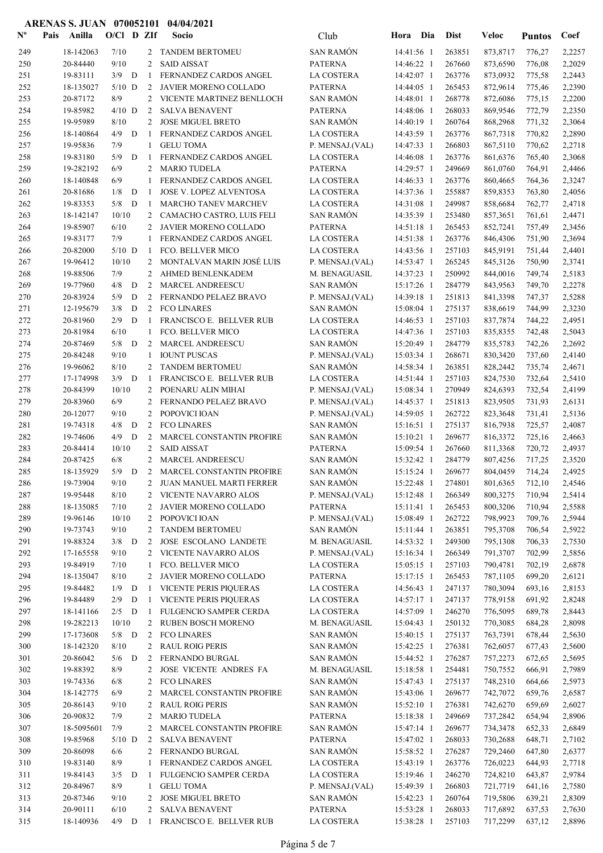| $\mathbf{N}^{\mathbf{o}}$ | Pais | Anilla               | $O/CI$ D ZIf |   |                | Socio                               | Club                                | Hora Dia                 |            | <b>Dist</b>      | Veloc                | <b>Puntos</b>    | Coef             |
|---------------------------|------|----------------------|--------------|---|----------------|-------------------------------------|-------------------------------------|--------------------------|------------|------------------|----------------------|------------------|------------------|
| 249                       |      | 18-142063            | 7/10         |   | 2              | <b>TANDEM BERTOMEU</b>              | SAN RAMÓN                           | 14:41:56 1               |            | 263851           | 873,8717             | 776,27           | 2,2257           |
| 250                       |      | 20-84440             | 9/10         |   | 2              | <b>SAID AISSAT</b>                  | <b>PATERNA</b>                      | 14:46:22 1               |            | 267660           | 873,6590             | 776,08           | 2,2029           |
| 251                       |      | 19-83111             | $3/9$ D      |   | -1             | FERNANDEZ CARDOS ANGEL              | LA COSTERA                          | 14:42:07 1               |            | 263776           | 873,0932             | 775,58           | 2,2443           |
| 252                       |      | 18-135027            | $5/10$ D     |   | 2              | JAVIER MORENO COLLADO               | <b>PATERNA</b>                      | 14:44:05 1               |            | 265453           | 872,9614             | 775,46           | 2,2390           |
| 253                       |      | 20-87172             | 8/9          |   | 2              | VICENTE MARTINEZ BENLLOCH           | <b>SAN RAMÓN</b>                    | 14:48:01 1               |            | 268778           | 872,6086             | 775,15           | 2,2200           |
| 254                       |      | 19-85982             | $4/10$ D     |   | 2              | <b>SALVA BENAVENT</b>               | <b>PATERNA</b>                      | 14:48:06 1               |            | 268033           | 869,9546             | 772,79           | 2,2350           |
| 255                       |      | 19-95989             | 8/10         |   | 2              | <b>JOSE MIGUEL BRETO</b>            | <b>SAN RAMÓN</b>                    | 14:40:19 1               |            | 260764           | 868,2968             | 771,32           | 2,3064           |
| 256                       |      | 18-140864            | 4/9          | D | $\mathbf{1}$   | FERNANDEZ CARDOS ANGEL              | LA COSTERA                          | 14:43:59 1               |            | 263776           | 867,7318             | 770,82           | 2,2890           |
| 257                       |      | 19-95836             | 7/9          |   | $\mathbf{1}$   | <b>GELU TOMA</b>                    | P. MENSAJ.(VAL)                     | 14:47:33 1               |            | 266803           | 867,5110             | 770,62           | 2,2718           |
| 258                       |      | 19-83180             | 5/9          | D | -1             | FERNANDEZ CARDOS ANGEL              | <b>LA COSTERA</b>                   | 14:46:08 1               |            | 263776           | 861,6376             | 765,40           | 2,3068           |
| 259                       |      | 19-282192            | 6/9          |   | 2              | <b>MARIO TUDELA</b>                 | <b>PATERNA</b>                      | 14:29:57 1               |            | 249669           | 861,0760             | 764,91           | 2,4466           |
| 260                       |      | 18-140848            | 6/9          |   | 1              | FERNANDEZ CARDOS ANGEL              | LA COSTERA                          | 14:46:33 1               |            | 263776           | 860,4665             | 764,36           | 2,3247           |
| 261                       |      | 20-81686             | 1/8          | D | 1              | <b>JOSE V. LOPEZ ALVENTOSA</b>      | LA COSTERA                          | 14:37:36 1               |            | 255887           | 859,8353             | 763,80           | 2,4056           |
| 262                       |      | 19-83353             | 5/8          | D | -1             | MARCHO TANEV MARCHEV                | LA COSTERA                          | 14:31:08 1               |            | 249987           | 858,6684             | 762,77           | 2,4718           |
| 263                       |      | 18-142147            | 10/10        |   | 2              | CAMACHO CASTRO, LUIS FELI           | <b>SAN RAMÓN</b>                    | 14:35:39 1               |            | 253480           | 857,3651             | 761,61           | 2,4471           |
| 264                       |      | 19-85907             | 6/10         |   | $\overline{2}$ | JAVIER MORENO COLLADO               | <b>PATERNA</b>                      | 14:51:18 1               |            | 265453           | 852,7241             | 757,49           | 2,3456           |
| 265                       |      | 19-83177             | 7/9          |   | 1              | FERNANDEZ CARDOS ANGEL              | LA COSTERA                          | 14:51:38 1               |            | 263776           | 846,4306             | 751,90           | 2,3694           |
| 266                       |      | 20-82000             | $5/10$ D     |   | 1              | FCO. BELLVER MICO                   | <b>LA COSTERA</b>                   | 14:43:56 1               |            | 257103           | 845,9191             | 751,44           | 2,4401           |
| 267                       |      | 19-96412             | 10/10        |   | 2              | MONTALVAN MARIN JOSÉ LUIS           | P. MENSAJ.(VAL)                     | 14:53:47 1               |            | 265245           | 845,3126             | 750,90           | 2,3741           |
| 268                       |      | 19-88506             | 7/9          |   | 2              | AHMED BENLENKADEM                   | M. BENAGUASIL                       | 14:37:23 1               |            | 250992           | 844,0016             | 749,74           | 2,5183           |
| 269                       |      | 19-77960             | 4/8          | D | $\overline{c}$ | MARCEL ANDREESCU                    | <b>SAN RAMÓN</b>                    | 15:17:26 1               |            | 284779           | 843,9563             | 749,70           | 2,2278           |
| 270                       |      | 20-83924             | 5/9          | D | 2              | FERNANDO PELAEZ BRAVO               | P. MENSAJ.(VAL)                     | 14:39:18 1               |            | 251813           | 841,3398             | 747,37           | 2,5288           |
| 271                       |      | 12-195679            | 3/8          | D | $\overline{2}$ | <b>FCO LINARES</b>                  | <b>SAN RAMÓN</b>                    | 15:08:04 1               |            | 275137           | 838,6619             | 744,99           | 2,3230           |
| 272                       |      | 20-81960             | 2/9          | D | $\mathbf{1}$   | FRANCISCO E. BELLVER RUB            | <b>LA COSTERA</b>                   | 14:46:53 1               |            | 257103           | 837,7874             | 744,22           | 2,4951           |
| 273                       |      | 20-81984             | 6/10         |   | 1              | FCO. BELLVER MICO                   | <b>LA COSTERA</b>                   | 14:47:36 1               |            | 257103           | 835,8355             | 742,48           | 2,5043           |
| 274                       |      | 20-87469             | 5/8          | D | 2              | MARCEL ANDREESCU                    | <b>SAN RAMÓN</b>                    | 15:20:49 1               |            | 284779           | 835,5783             | 742,26           | 2,2692           |
| 275                       |      | 20-84248             | 9/10         |   | 1              | <b>IOUNT PUSCAS</b>                 | P. MENSAJ.(VAL)                     | 15:03:34 1               |            | 268671           | 830,3420             | 737,60           | 2,4140           |
| 276                       |      | 19-96062             | 8/10         |   | 2              | <b>TANDEM BERTOMEU</b>              | <b>SAN RAMÓN</b>                    | 14:58:34 1               |            | 263851           | 828,2442             | 735,74           | 2,4671           |
| 277                       |      | 17-174998            | $3/9$ D      |   | -1             | FRANCISCO E. BELLVER RUB            | LA COSTERA                          | 14:51:44 1               |            | 257103           | 824,7530             | 732,64           | 2,5410           |
| 278                       |      | 20-84399             | 10/10        |   | 2              | POENARU ALIN MIHAI                  | P. MENSAJ.(VAL)                     | 15:08:34 1               |            | 270949           | 824,6393             | 732,54           | 2,4199           |
| 279                       |      | 20-83960             | 6/9          |   | 2              | FERNANDO PELAEZ BRAVO               | P. MENSAJ.(VAL)                     | 14:45:37 1               |            | 251813           | 823,9505             | 731,93           | 2,6131           |
| 280<br>281                |      | 20-12077<br>19-74318 | 9/10<br>4/8  | D | 2<br>2         | POPOVICI IOAN<br><b>FCO LINARES</b> | P. MENSAJ.(VAL)<br><b>SAN RAMÓN</b> | 14:59:05 1<br>15:16:51 1 |            | 262722<br>275137 | 823,3648<br>816,7938 | 731,41           | 2,5136           |
| 282                       |      | 19-74606             | 4/9          | D | 2              | MARCEL CONSTANTIN PROFIRE           | SAN RAMÓN                           | 15:10:21 1               |            | 269677           | 816,3372             | 725,57           | 2,4087<br>2,4663 |
| 283                       |      | 20-84414             | 10/10        |   | 2              | <b>SAID AISSAT</b>                  | <b>PATERNA</b>                      | 15:09:54 1               |            | 267660           | 811,3368             | 725,16<br>720,72 | 2,4937           |
| 284                       |      | 20-87425             | 6/8          |   | 2              | MARCEL ANDREESCU                    | <b>SAN RAMÓN</b>                    | 15:32:42 1               |            | 284779           | 807,4256             | 717,25           | 2,3520           |
| 285                       |      | 18-135929            | 5/9          | D | 2              | MARCEL CONSTANTIN PROFIRE           | <b>SAN RAMÓN</b>                    | 15:15:24 1               |            | 269677           | 804,0459             | 714,24           | 2,4925           |
| 286                       |      | 19-73904             | 9/10         |   |                | 2 JUAN MANUEL MARTI FERRER          | <b>SAN RAMÓN</b>                    |                          | 15:22:48 1 | 274801           | 801,6365             | 712,10           | 2,4546           |
| 287                       |      | 19-95448             | 8/10         |   |                | 2 VICENTE NAVARRO ALOS              | P. MENSAJ.(VAL)                     | 15:12:48 1               |            | 266349           | 800,3275             | 710,94           | 2,5414           |
| 288                       |      | 18-135085            | 7/10         |   |                | 2 JAVIER MORENO COLLADO             | <b>PATERNA</b>                      | 15:11:41 1               |            | 265453           | 800,3206             | 710,94           | 2,5588           |
| 289                       |      | 19-96146             | 10/10        |   | 2              | POPOVICI IOAN                       | P. MENSAJ.(VAL)                     | 15:08:49 1               |            | 262722           | 798,9923             | 709,76           | 2,5944           |
| 290                       |      | 19-73743             | 9/10         |   | 2              | <b>TANDEM BERTOMEU</b>              | <b>SAN RAMÓN</b>                    | 15:11:44 1               |            | 263851           | 795,3708             | 706,54           | 2,5922           |
| 291                       |      | 19-88324             | $3/8$ D      |   | 2              | JOSE ESCOLANO LANDETE               | M. BENAGUASIL                       | 14:53:32 1               |            | 249300           | 795,1308             | 706,33           | 2,7530           |
| 292                       |      | 17-165558            | 9/10         |   |                | 2 VICENTE NAVARRO ALOS              | P. MENSAJ.(VAL)                     | 15:16:34 1               |            | 266349           | 791,3707             | 702,99           | 2,5856           |
| 293                       |      | 19-84919             | 7/10         |   | 1              | FCO. BELLVER MICO                   | LA COSTERA                          | 15:05:15 1               |            | 257103           | 790,4781             | 702,19           | 2,6878           |
| 294                       |      | 18-135047            | 8/10         |   | $\overline{2}$ | JAVIER MORENO COLLADO               | <b>PATERNA</b>                      | 15:17:15 1               |            | 265453           | 787,1105             | 699,20           | 2,6121           |
| 295                       |      | 19-84482             | $1/9$ D      |   | -1             | <b>VICENTE PERIS PIQUERAS</b>       | LA COSTERA                          | 14:56:43 1               |            | 247137           | 780,3094             | 693,16           | 2,8153           |
| 296                       |      | 19-84489             | 2/9          | D | $\mathbf{1}$   | <b>VICENTE PERIS PIQUERAS</b>       | LA COSTERA                          | 14:57:17 1               |            | 247137           | 778,9158             | 691,92           | 2,8248           |
| 297                       |      | 18-141166            | $2/5$ D      |   | $\mathbf{1}$   | FULGENCIO SAMPER CERDA              | LA COSTERA                          | 14:57:09 1               |            | 246270           | 776,5095             | 689,78           | 2,8443           |
| 298                       |      | 19-282213            | 10/10        |   | $\overline{2}$ | RUBEN BOSCH MORENO                  | M. BENAGUASIL                       | 15:04:43 1               |            | 250132           | 770,3085             | 684,28           | 2,8098           |
| 299                       |      | 17-173608            | $5/8$ D      |   | 2              | <b>FCO LINARES</b>                  | <b>SAN RAMÓN</b>                    | 15:40:15 1               |            | 275137           | 763,7391             | 678,44           | 2,5630           |
| 300                       |      | 18-142320            | $8/10$       |   | $\mathbf{2}$   | <b>RAUL ROIG PERIS</b>              | <b>SAN RAMÓN</b>                    | 15:42:25 1               |            | 276381           | 762,6057             | 677,43           | 2,5600           |
| 301                       |      | 20-86042             | $5/6$ D      |   | 2              | FERNANDO BURGAL                     | <b>SAN RAMÓN</b>                    | 15:44:52 1               |            | 276287           | 757,2273             | 672,65           | 2,5695           |
| 302                       |      | 19-88392             | 8/9          |   | 2              | JOSE VICENTE ANDRES FA              | M. BENAGUASIL                       | 15:18:58 1               |            | 254481           | 750,7552             | 666,91           | 2,7989           |
| 303                       |      | 19-74336             | 6/8          |   | 2              | <b>FCO LINARES</b>                  | <b>SAN RAMÓN</b>                    | 15:47:43 1               |            | 275137           | 748,2310             | 664,66           | 2,5973           |
| 304                       |      | 18-142775            | 6/9          |   | 2              | MARCEL CONSTANTIN PROFIRE           | <b>SAN RAMÓN</b>                    | 15:43:06 1               |            | 269677           | 742,7072             | 659,76           | 2,6587           |
| 305                       |      | 20-86143             | 9/10         |   | 2              | <b>RAUL ROIG PERIS</b>              | <b>SAN RAMÓN</b>                    | 15:52:10 1               |            | 276381           | 742,6270             | 659,69           | 2,6027           |
| 306                       |      | 20-90832             | 7/9          |   | 2              | <b>MARIO TUDELA</b>                 | <b>PATERNA</b>                      | 15:18:38 1               |            | 249669           | 737,2842             | 654,94           | 2,8906           |
| 307                       |      | 18-5095601           | 7/9          |   | 2              | MARCEL CONSTANTIN PROFIRE           | <b>SAN RAMÓN</b>                    | 15:47:14 1               |            | 269677           | 734,3478             | 652,33           | 2,6849           |
| 308                       |      | 19-85968             | $5/10$ D     |   | 2              | <b>SALVA BENAVENT</b>               | <b>PATERNA</b>                      | 15:47:02 1               |            | 268033           | 730,2688             | 648,71           | 2,7102           |
| 309                       |      | 20-86098             | 6/6          |   | 2              | FERNANDO BURGAL                     | SAN RAMÓN                           | 15:58:52 1               |            | 276287           | 729,2460             | 647,80           | 2,6377           |
| 310                       |      | 19-83140             | 8/9          |   | 1              | FERNANDEZ CARDOS ANGEL              | LA COSTERA                          | 15:43:19 1               |            | 263776           | 726,0223             | 644,93           | 2,7718           |
| 311                       |      | 19-84143             | $3/5$ D      |   | -1             | FULGENCIO SAMPER CERDA              | LA COSTERA                          | 15:19:46 1               |            | 246270           | 724,8210             | 643,87           | 2,9784           |
| 312                       |      | 20-84967             | 8/9          |   | $\mathbf{1}$   | <b>GELU TOMA</b>                    | P. MENSAJ.(VAL)                     | 15:49:39 1               |            | 266803           | 721,7719             | 641,16           | 2,7580           |
| 313                       |      | 20-87346             | 9/10         |   | 2              | <b>JOSE MIGUEL BRETO</b>            | <b>SAN RAMÓN</b>                    | 15:42:23 1               |            | 260764           | 719,5806             | 639,21           | 2,8309           |
| 314                       |      | 20-90111             | 6/10         |   | 2              | <b>SALVA BENAVENT</b>               | <b>PATERNA</b>                      | 15:53:28 1               |            | 268033           | 717,6892             | 637,53           | 2,7630           |
| 315                       |      | 18-140936            | $4/9$ D      |   |                | 1 FRANCISCO E. BELLVER RUB          | LA COSTERA                          | 15:38:28 1               |            | 257103           | 717,2299             | 637,12           | 2,8896           |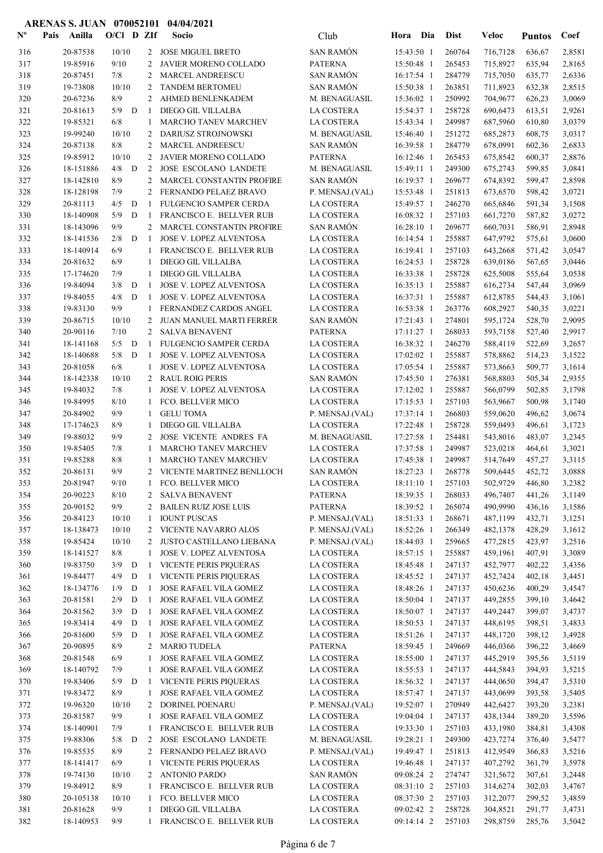| $\mathbf{N}^{\mathbf{o}}$ | Pais | Anilla                | $O/CI$ D ZIf |   |                | Socio                                             | Club                          | Hora                     | Dia | <b>Dist</b>      | Veloc                | <b>Puntos</b>    | Coef             |
|---------------------------|------|-----------------------|--------------|---|----------------|---------------------------------------------------|-------------------------------|--------------------------|-----|------------------|----------------------|------------------|------------------|
| 316                       |      | 20-87538              | 10/10        |   |                | 2 JOSE MIGUEL BRETO                               | <b>SAN RAMÓN</b>              | 15:43:50 1               |     | 260764           | 716,7128             | 636,67           | 2,8581           |
| 317                       |      | 19-85916              | 9/10         |   | 2              | JAVIER MORENO COLLADO                             | <b>PATERNA</b>                | 15:50:48 1               |     | 265453           | 715,8927             | 635,94           | 2,8165           |
| 318                       |      | 20-87451              | 7/8          |   | 2              | <b>MARCEL ANDREESCU</b>                           | <b>SAN RAMÓN</b>              | 16:17:54 1               |     | 284779           | 715,7050             | 635,77           | 2,6336           |
| 319                       |      | 19-73808              | 10/10        |   | 2              | <b>TANDEM BERTOMEU</b>                            | <b>SAN RAMÓN</b>              | 15:50:38 1               |     | 263851           | 711,8923             | 632,38           | 2,8515           |
| 320                       |      | 20-67236              | 8/9          |   | 2              | AHMED BENLENKADEM                                 | M. BENAGUASIL                 | 15:36:02 1               |     | 250992           | 704,9677             | 626,23           | 3,0069           |
| 321                       |      | 20-81613              | 5/9          | D | -1             | DIEGO GIL VILLALBA                                | LA COSTERA                    | 15:54:37 1               |     | 258728           | 690,6473             | 613,51           | 2,9261           |
| 322                       |      | 19-85321              | 6/8          |   | -1             | MARCHO TANEV MARCHEV                              | <b>LA COSTERA</b>             | 15:43:34 1               |     | 249987           | 687,5960             | 610,80           | 3,0379           |
| 323                       |      | 19-99240              | 10/10        |   | 2              | <b>DARIUSZ STROJNOWSKI</b>                        | M. BENAGUASIL                 | 15:46:40 1               |     | 251272           | 685,2873             | 608,75           | 3,0317           |
| 324                       |      | 20-87138              | 8/8          |   | 2              | <b>MARCEL ANDREESCU</b>                           | <b>SAN RAMÓN</b>              | 16:39:58 1               |     | 284779           | 678,0991             | 602,36           | 2,6833           |
| 325                       |      | 19-85912              | 10/10        |   | 2              | JAVIER MORENO COLLADO                             | <b>PATERNA</b>                | 16:12:46 1               |     | 265453           | 675,8542             | 600,37           | 2,8876           |
| 326                       |      | 18-151886             | 4/8          | D | 2              | JOSE ESCOLANO LANDETE                             | M. BENAGUASIL                 | 15:49:11 1               |     | 249300           | 675,2743             | 599,85           | 3,0841           |
| 327                       |      | 18-142810             | 8/9          |   | 2              | MARCEL CONSTANTIN PROFIRE                         | <b>SAN RAMÓN</b>              | 16:19:37 1               |     | 269677           | 674,8392             | 599,47           | 2,8598           |
| 328                       |      | 18-128198             | 7/9          |   | 2              | FERNANDO PELAEZ BRAVO                             | P. MENSAJ.(VAL)               | 15:53:48 1               |     | 251813           | 673,6570             | 598,42           | 3,0721           |
| 329                       |      | 20-81113              | 4/5          | D | -1             | FULGENCIO SAMPER CERDA                            | LA COSTERA                    | 15:49:57 1               |     | 246270           | 665,6846             | 591,34           | 3,1508           |
| 330                       |      | 18-140908             | 5/9          | D | -1             | FRANCISCO E. BELLVER RUB                          | <b>LA COSTERA</b>             | 16:08:32 1               |     | 257103           | 661,7270             | 587,82           | 3,0272           |
| 331                       |      | 18-143096             | 9/9          |   | 2              | MARCEL CONSTANTIN PROFIRE                         | <b>SAN RAMÓN</b>              | 16:28:10 1               |     | 269677           | 660,7031             | 586,91           | 2,8948           |
| 332                       |      | 18-141536             | 2/8          | D | -1             | JOSE V. LOPEZ ALVENTOSA                           | LA COSTERA                    | 16:14:54 1               |     | 255887           | 647,9792             | 575,61           | 3,0600           |
| 333                       |      | 18-140914             | 6/9          |   | -1             | FRANCISCO E. BELLVER RUB                          | <b>LA COSTERA</b>             | 16:19:41 1               |     | 257103           | 643,2668             | 571,42           | 3,0547           |
| 334                       |      | 20-81632              | 6/9          |   | -1             | DIEGO GIL VILLALBA                                | LA COSTERA                    | 16:24:53 1               |     | 258728           | 639,0186             | 567,65           | 3,0446           |
| 335                       |      | 17-174620             | 7/9          |   | 1              | <b>DIEGO GIL VILLALBA</b>                         | LA COSTERA                    | 16:33:38 1               |     | 258728           | 625,5008             | 555,64           | 3,0538           |
| 336                       |      | 19-84094              | 3/8          | D | -1             | <b>JOSE V. LOPEZ ALVENTOSA</b>                    | <b>LA COSTERA</b>             | $16:35:13$ 1             |     | 255887           | 616,2734             | 547,44           | 3,0969           |
| 337                       |      | 19-84055              | 4/8          | D | -1             | <b>JOSE V. LOPEZ ALVENTOSA</b>                    | LA COSTERA                    | 16:37:31 1               |     | 255887           | 612,8785             | 544,43           | 3,1061           |
| 338                       |      | 19-83130              | 9/9          |   | 1              | FERNANDEZ CARDOS ANGEL                            | LA COSTERA                    | 16:53:38 1               |     | 263776           | 608,2927             | 540,35           | 3,0221           |
| 339                       |      | 20-86715              | 10/10        |   | 2              | JUAN MANUEL MARTI FERRER                          | <b>SAN RAMÓN</b>              | 17:21:43 1               |     | 274801           | 595,1724             | 528,70           | 2,9095           |
| 340                       |      | 20-90116              | 7/10         |   | 2              | <b>SALVA BENAVENT</b>                             | <b>PATERNA</b>                | $17:11:27$ 1             |     | 268033           | 593,7158             | 527,40           | 2,9917           |
| 341                       |      | 18-141168             | 5/5          | D | -1             | FULGENCIO SAMPER CERDA                            | LA COSTERA                    | 16:38:32 1               |     | 246270           | 588,4119             | 522,69           | 3,2657           |
| 342                       |      | 18-140688             | 5/8          | D | -1             | JOSE V. LOPEZ ALVENTOSA                           | <b>LA COSTERA</b>             | 17:02:02 1               |     | 255887           | 578,8862             | 514,23           | 3,1522           |
| 343                       |      | 20-81058              | 6/8          |   | 1              | JOSE V. LOPEZ ALVENTOSA                           | LA COSTERA                    | 17:05:54 1               |     | 255887           | 573,8663             | 509,77           | 3,1614           |
| 344                       |      | 18-142338             | 10/10        |   | 2              | <b>RAUL ROIG PERIS</b>                            | <b>SAN RAMÓN</b>              | 17:45:50 1               |     | 276381           | 568,8803             | 505,34           | 2,9355           |
| 345                       |      | 19-84032              | 7/8          |   | -1             | <b>JOSE V. LOPEZ ALVENTOSA</b>                    | <b>LA COSTERA</b>             | 17:12:02 1               |     | 255887           | 566,0799             | 502,85           | 3,1798           |
| 346                       |      | 19-84995              | 8/10         |   | -1             | FCO. BELLVER MICO                                 | LA COSTERA                    | 17:15:53 1               |     | 257103           | 563,9667             | 500,98           | 3,1740           |
| 347                       |      | 20-84902              | 9/9          |   | -1             | <b>GELU TOMA</b>                                  | P. MENSAJ.(VAL)               | 17:37:14 1               |     | 266803           | 559,0620             | 496,62           | 3,0674           |
| 348                       |      | 17-174623             | 8/9          |   | -1             | DIEGO GIL VILLALBA                                | <b>LA COSTERA</b>             | 17:22:48 1               |     | 258728           | 559,0493             | 496,61           | 3,1723           |
| 349                       |      | 19-88032              | 9/9          |   | 2              | <b>JOSE VICENTE ANDRES FA</b>                     | M. BENAGUASIL                 | 17:27:58 1               |     | 254481           | 543,8016             | 483,07           | 3,2345           |
| 350                       |      | 19-85405              | 7/8          |   | -1             | MARCHO TANEV MARCHEV                              | <b>LA COSTERA</b>             | 17:37:58 1               |     | 249987           | 523,0218             | 464,61           | 3,3021           |
| 351                       |      | 19-85288              | 8/8          |   | -1             | MARCHO TANEV MARCHEV                              | <b>LA COSTERA</b>             | 17:45:38 1               |     | 249987           | 514,7649             | 457,27           | 3,3115           |
| 352                       |      | 20-86131              | 9/9          |   | $\overline{2}$ | VICENTE MARTINEZ BENLLOCH                         | <b>SAN RAMÓN</b>              | 18:27:23 1               |     | 268778           | 509,6445             | 452,72           | 3,0888           |
| 353                       |      | 20-81947              | $9/10$       |   |                | 1 FCO. BELLVER MICO                               | LA COSTERA                    | 18:11:10 1               |     | 257103           | 502,9729 446,80      |                  | 3,2382           |
| 354                       |      | 20-90223              | 8/10         |   | $\mathbf{2}$   | <b>SALVA BENAVENT</b>                             | <b>PATERNA</b>                | 18:39:35 1               |     | 268033           | 496,7407             | 441,26           | 3,1149           |
| 355                       |      | 20-90152              | 9/9          |   | $\overline{2}$ | <b>BAILEN RUIZ JOSE LUIS</b>                      | PATERNA                       | 18:39:52 1               |     | 265074           | 490,9990             | 436,16           | 3,1586           |
| 356                       |      | 20-84123              | 10/10        |   | -1             | <b>IOUNT PUSCAS</b>                               | P. MENSAJ.(VAL)               | 18:51:33 1               |     | 268671           | 487,1199             | 432,71           | 3,1251           |
| 357                       |      | 18-138473             | 10/10        |   |                | 2 VICENTE NAVARRO ALOS                            | P. MENSAJ.(VAL)               | 18:52:26 1               |     | 266349           | 482,1378             | 428,29           | 3,1612           |
| 358                       |      | 19-85424              | 10/10        |   | $\mathbf{2}$   | JUSTO CASTELLANO LIEBANA                          | P. MENSAJ.(VAL)               | 18:44:03 1               |     | 259665           | 477,2815             | 423,97           | 3,2516           |
| 359                       |      | 18-141527             | 8/8          |   | 1              | <b>JOSE V. LOPEZ ALVENTOSA</b>                    | LA COSTERA                    | 18:57:15 1               |     | 255887           | 459,1961             | 407,91           | 3,3089           |
| 360                       |      | 19-83750              | 3/9          | D | 1              | VICENTE PERIS PIQUERAS                            | LA COSTERA                    | 18:45:48 1               |     | 247137           | 452,7977             | 402,22           | 3,4356           |
| 361                       |      | 19-84477              | 4/9          | D | -1             | VICENTE PERIS PIQUERAS                            | LA COSTERA                    | 18:45:52 1               |     | 247137           | 452,7424             | 402,18           | 3,4451           |
| 362                       |      | 18-134776             | 1/9          | D | -1             | JOSE RAFAEL VILA GOMEZ                            | LA COSTERA                    | 18:48:26 1               |     | 247137           | 450,6236             | 400,29           | 3,4547           |
| 363                       |      | 20-81581              | 2/9          | D | -1             | JOSE RAFAEL VILA GOMEZ                            | LA COSTERA                    | 18:50:04 1               |     | 247137           | 449,2855             | 399,10           | 3,4642           |
| 364                       |      | 20-81562              | 3/9          | D | -1             | JOSE RAFAEL VILA GOMEZ                            | LA COSTERA                    | 18:50:07 1               |     | 247137           | 449,2447             | 399,07           | 3,4737           |
| 365                       |      | 19-83414              | 4/9          | D | -1             | JOSE RAFAEL VILA GOMEZ                            | LA COSTERA                    | 18:50:53 1               |     | 247137           | 448,6195             | 398,51           | 3,4833           |
| 366                       |      | 20-81600              | 5/9          | D | -1             | JOSE RAFAEL VILA GOMEZ                            | LA COSTERA                    | 18:51:26 1               |     | 247137           | 448,1720             | 398,12           | 3,4928           |
| 367                       |      | 20-90895              | 8/9          |   | 2              | <b>MARIO TUDELA</b>                               | PATERNA                       | 18:59:45 1               |     | 249669           | 446,0366             | 396,22           | 3,4669           |
| 368                       |      | 20-81548              | 6/9          |   | 1              | JOSE RAFAEL VILA GOMEZ                            | LA COSTERA                    | 18:55:00 1               |     | 247137           | 445,2919             | 395,56           | 3,5119           |
| 369                       |      | 18-140792             | 7/9          |   | 1              | JOSE RAFAEL VILA GOMEZ                            | LA COSTERA                    | 18:55:53 1               |     | 247137           | 444,5843             | 394,93           | 3,5215           |
| 370                       |      | 19-83406              | 5/9          | D | -1             | VICENTE PERIS PIQUERAS                            | LA COSTERA                    | 18:56:32 1               |     | 247137           | 444,0650             | 394,47           | 3,5310           |
| 371                       |      | 19-83472              | 8/9          |   | 1              | JOSE RAFAEL VILA GOMEZ                            | LA COSTERA                    | 18:57:47 1               |     | 247137           | 443,0699             | 393,58           | 3,5405           |
| 372                       |      | 19-96320              | 10/10<br>9/9 |   | 2              | DORINEL POENARU                                   | P. MENSAJ.(VAL)               | 19:52:07 1               |     | 270949<br>247137 | 442,6427             | 393,20           | 3,2381           |
| 373                       |      | 20-81587              |              |   | 1              | JOSE RAFAEL VILA GOMEZ                            | LA COSTERA                    | 19:04:04 1               |     | 257103           | 438,1344             | 389,20           | 3,5596           |
| 374<br>375                |      | 18-140901<br>19-88306 | 7/9<br>5/8   | D | 1<br>2         | FRANCISCO E. BELLVER RUB<br>JOSE ESCOLANO LANDETE | LA COSTERA<br>M. BENAGUASIL   | 19:33:30 1<br>19:28:21 1 |     | 249300           | 433,1980<br>423,7274 | 384,81<br>376,40 | 3,4308<br>3,5477 |
|                           |      |                       | 8/9          |   | 2              |                                                   |                               |                          |     | 251813           |                      |                  |                  |
| 376<br>377                |      | 19-85535<br>18-141417 | 6/9          |   | 1              | FERNANDO PELAEZ BRAVO<br>VICENTE PERIS PIQUERAS   | P. MENSAJ.(VAL)<br>LA COSTERA | 19:49:47 1<br>19:46:48 1 |     | 247137           | 412,9549<br>407,2792 | 366,83<br>361,79 | 3,5216<br>3,5978 |
| 378                       |      | 19-74130              | 10/10        |   | 2              | <b>ANTONIO PARDO</b>                              | <b>SAN RAMÓN</b>              | 09:08:24 2               |     | 274747           | 321,5672             | 307,61           | 3,2448           |
| 379                       |      | 19-84912              | 8/9          |   | 1              | FRANCISCO E. BELLVER RUB                          | LA COSTERA                    | 08:31:10 2               |     | 257103           | 314,6274             | 302,03           | 3,4767           |
| 380                       |      | 20-105138             | 10/10        |   | -1             | FCO. BELLVER MICO                                 | LA COSTERA                    | 08:37:30 2               |     | 257103           | 312,2077             | 299,52           | 3,4859           |
| 381                       |      | 20-81628              | 9/9          |   | 1              | DIEGO GIL VILLALBA                                | LA COSTERA                    | 09:02:42 2               |     | 258728           | 304,8521             | 291,77           | 3,4731           |
| 382                       |      | 18-140953             | 9/9          |   | -1             | FRANCISCO E. BELLVER RUB                          | LA COSTERA                    | 09:14:14 2               |     | 257103           | 298,8759             | 285,76           | 3,5042           |
|                           |      |                       |              |   |                |                                                   |                               |                          |     |                  |                      |                  |                  |